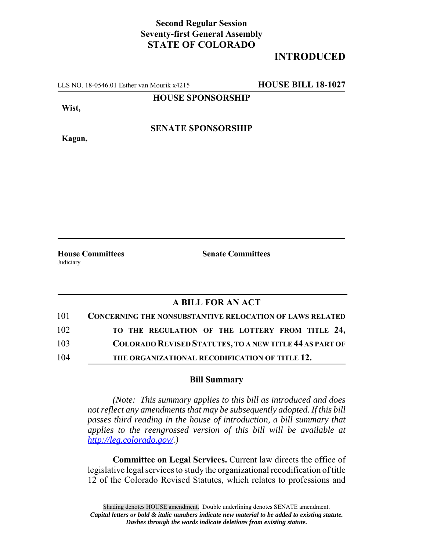## **Second Regular Session Seventy-first General Assembly STATE OF COLORADO**

## **INTRODUCED**

LLS NO. 18-0546.01 Esther van Mourik x4215 **HOUSE BILL 18-1027**

#### **HOUSE SPONSORSHIP**

**Wist,**

**Kagan,**

#### **SENATE SPONSORSHIP**

**Judiciary** 

**House Committees Senate Committees** 

### **A BILL FOR AN ACT**

| 101 | CONCERNING THE NONSUBSTANTIVE RELOCATION OF LAWS RELATED       |
|-----|----------------------------------------------------------------|
| 102 | TO THE REGULATION OF THE LOTTERY FROM TITLE 24,                |
| 103 | <b>COLORADO REVISED STATUTES, TO A NEW TITLE 44 AS PART OF</b> |
| 104 | THE ORGANIZATIONAL RECODIFICATION OF TITLE 12.                 |

#### **Bill Summary**

*(Note: This summary applies to this bill as introduced and does not reflect any amendments that may be subsequently adopted. If this bill passes third reading in the house of introduction, a bill summary that applies to the reengrossed version of this bill will be available at http://leg.colorado.gov/.)*

**Committee on Legal Services.** Current law directs the office of legislative legal services to study the organizational recodification of title 12 of the Colorado Revised Statutes, which relates to professions and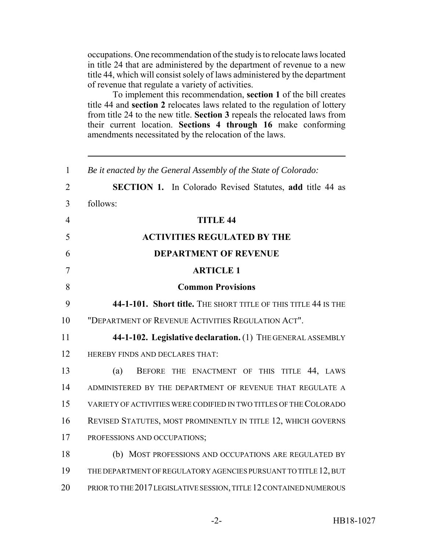occupations. One recommendation of the study is to relocate laws located in title 24 that are administered by the department of revenue to a new title 44, which will consist solely of laws administered by the department of revenue that regulate a variety of activities.

To implement this recommendation, **section 1** of the bill creates title 44 and **section 2** relocates laws related to the regulation of lottery from title 24 to the new title. **Section 3** repeals the relocated laws from their current location. **Sections 4 through 16** make conforming amendments necessitated by the relocation of the laws.

| $\mathbf{1}$   | Be it enacted by the General Assembly of the State of Colorado:    |
|----------------|--------------------------------------------------------------------|
| $\overline{2}$ | <b>SECTION 1.</b> In Colorado Revised Statutes, add title 44 as    |
| $\overline{3}$ | follows:                                                           |
| $\overline{4}$ | <b>TITLE 44</b>                                                    |
| 5              | <b>ACTIVITIES REGULATED BY THE</b>                                 |
| 6              | <b>DEPARTMENT OF REVENUE</b>                                       |
| 7              | <b>ARTICLE 1</b>                                                   |
| 8              | <b>Common Provisions</b>                                           |
| 9              | 44-1-101. Short title. THE SHORT TITLE OF THIS TITLE 44 IS THE     |
| 10             | "DEPARTMENT OF REVENUE ACTIVITIES REGULATION ACT".                 |
| 11             | 44-1-102. Legislative declaration. (1) THE GENERAL ASSEMBLY        |
| 12             | HEREBY FINDS AND DECLARES THAT:                                    |
| 13             | TITLE 44, LAWS<br>(a)<br>BEFORE THE ENACTMENT OF THIS              |
| 14             | ADMINISTERED BY THE DEPARTMENT OF REVENUE THAT REGULATE A          |
| 15             | VARIETY OF ACTIVITIES WERE CODIFIED IN TWO TITLES OF THE COLORADO  |
| 16             | REVISED STATUTES, MOST PROMINENTLY IN TITLE 12, WHICH GOVERNS      |
| 17             | PROFESSIONS AND OCCUPATIONS;                                       |
| 18             | (b) MOST PROFESSIONS AND OCCUPATIONS ARE REGULATED BY              |
| 19             | THE DEPARTMENT OF REGULATORY AGENCIES PURSUANT TO TITLE 12, BUT    |
| 20             | PRIOR TO THE 2017 LEGISLATIVE SESSION, TITLE 12 CONTAINED NUMEROUS |
|                |                                                                    |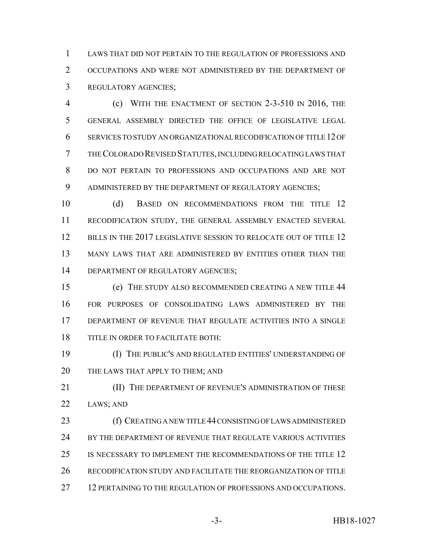LAWS THAT DID NOT PERTAIN TO THE REGULATION OF PROFESSIONS AND OCCUPATIONS AND WERE NOT ADMINISTERED BY THE DEPARTMENT OF REGULATORY AGENCIES;

 (c) WITH THE ENACTMENT OF SECTION 2-3-510 IN 2016, THE GENERAL ASSEMBLY DIRECTED THE OFFICE OF LEGISLATIVE LEGAL SERVICES TO STUDY AN ORGANIZATIONAL RECODIFICATION OF TITLE 12 OF THE COLORADO REVISED STATUTES, INCLUDING RELOCATING LAWS THAT DO NOT PERTAIN TO PROFESSIONS AND OCCUPATIONS AND ARE NOT ADMINISTERED BY THE DEPARTMENT OF REGULATORY AGENCIES;

10 (d) BASED ON RECOMMENDATIONS FROM THE TITLE 12 RECODIFICATION STUDY, THE GENERAL ASSEMBLY ENACTED SEVERAL 12 BILLS IN THE 2017 LEGISLATIVE SESSION TO RELOCATE OUT OF TITLE 12 MANY LAWS THAT ARE ADMINISTERED BY ENTITIES OTHER THAN THE 14 DEPARTMENT OF REGULATORY AGENCIES;

 (e) THE STUDY ALSO RECOMMENDED CREATING A NEW TITLE 44 FOR PURPOSES OF CONSOLIDATING LAWS ADMINISTERED BY THE DEPARTMENT OF REVENUE THAT REGULATE ACTIVITIES INTO A SINGLE TITLE IN ORDER TO FACILITATE BOTH:

 (I) THE PUBLIC'S AND REGULATED ENTITIES' UNDERSTANDING OF 20 THE LAWS THAT APPLY TO THEM; AND

**III)** THE DEPARTMENT OF REVENUE'S ADMINISTRATION OF THESE LAWS; AND

 (f) CREATING A NEW TITLE 44 CONSISTING OF LAWS ADMINISTERED 24 BY THE DEPARTMENT OF REVENUE THAT REGULATE VARIOUS ACTIVITIES IS NECESSARY TO IMPLEMENT THE RECOMMENDATIONS OF THE TITLE 12 RECODIFICATION STUDY AND FACILITATE THE REORGANIZATION OF TITLE 12 PERTAINING TO THE REGULATION OF PROFESSIONS AND OCCUPATIONS.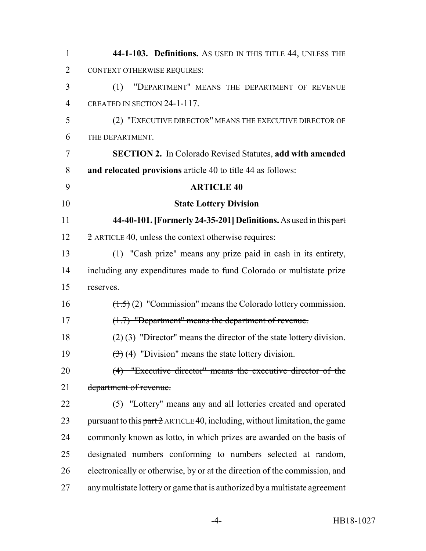| $\mathbf{1}$   | 44-1-103. Definitions. As USED IN THIS TITLE 44, UNLESS THE                   |
|----------------|-------------------------------------------------------------------------------|
| $\overline{2}$ | <b>CONTEXT OTHERWISE REQUIRES:</b>                                            |
| 3              | "DEPARTMENT" MEANS THE DEPARTMENT OF REVENUE<br>(1)                           |
| $\overline{4}$ | CREATED IN SECTION 24-1-117.                                                  |
| 5              | (2) "EXECUTIVE DIRECTOR" MEANS THE EXECUTIVE DIRECTOR OF                      |
| 6              | THE DEPARTMENT.                                                               |
| 7              | <b>SECTION 2.</b> In Colorado Revised Statutes, add with amended              |
| 8              | and relocated provisions article 40 to title 44 as follows:                   |
| 9              | <b>ARTICLE 40</b>                                                             |
| 10             | <b>State Lottery Division</b>                                                 |
| 11             | 44-40-101. [Formerly 24-35-201] Definitions. As used in this part             |
| 12             | $\overline{2}$ ARTICLE 40, unless the context otherwise requires:             |
| 13             | (1) "Cash prize" means any prize paid in cash in its entirety,                |
| 14             | including any expenditures made to fund Colorado or multistate prize          |
| 15             | reserves.                                                                     |
| 16             | $(\frac{1.5}{2})$ (2) "Commission" means the Colorado lottery commission.     |
| 17             | (1.7) "Department" means the department of revenue.                           |
| 18             | $(2)$ (3) "Director" means the director of the state lottery division.        |
| 19             | $\left(\frac{1}{2}\right)$ (4) "Division" means the state lottery division.   |
| 20             | (4) "Executive director" means the executive director of the                  |
| 21             | department of revenue.                                                        |
| 22             | "Lottery" means any and all lotteries created and operated<br>(5)             |
| 23             | pursuant to this $part 2$ ARTICLE 40, including, without limitation, the game |
| 24             | commonly known as lotto, in which prizes are awarded on the basis of          |
| 25             | designated numbers conforming to numbers selected at random,                  |
| 26             | electronically or otherwise, by or at the direction of the commission, and    |
| 27             | any multistate lottery or game that is authorized by a multistate agreement   |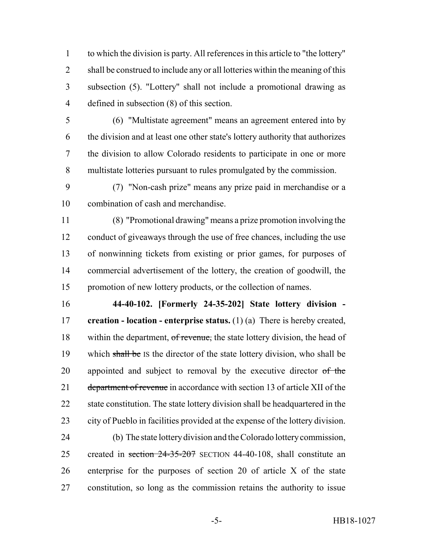to which the division is party. All references in this article to "the lottery" 2 shall be construed to include any or all lotteries within the meaning of this subsection (5). "Lottery" shall not include a promotional drawing as defined in subsection (8) of this section.

 (6) "Multistate agreement" means an agreement entered into by the division and at least one other state's lottery authority that authorizes the division to allow Colorado residents to participate in one or more multistate lotteries pursuant to rules promulgated by the commission.

 (7) "Non-cash prize" means any prize paid in merchandise or a combination of cash and merchandise.

 (8) "Promotional drawing" means a prize promotion involving the conduct of giveaways through the use of free chances, including the use of nonwinning tickets from existing or prior games, for purposes of commercial advertisement of the lottery, the creation of goodwill, the promotion of new lottery products, or the collection of names.

 **44-40-102. [Formerly 24-35-202] State lottery division - creation - location - enterprise status.** (1) (a) There is hereby created, 18 within the department, of revenue, the state lottery division, the head of 19 which shall be IS the director of the state lottery division, who shall be 20 appointed and subject to removal by the executive director of the 21 department of revenue in accordance with section 13 of article XII of the 22 state constitution. The state lottery division shall be headquartered in the city of Pueblo in facilities provided at the expense of the lottery division.

 (b) The state lottery division and the Colorado lottery commission, 25 created in section 24-35-207 SECTION 44-40-108, shall constitute an enterprise for the purposes of section 20 of article X of the state constitution, so long as the commission retains the authority to issue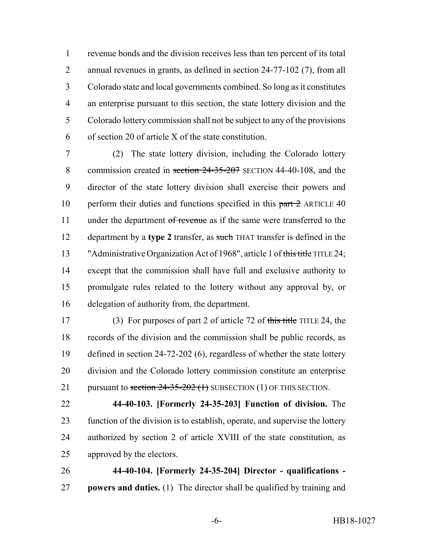revenue bonds and the division receives less than ten percent of its total annual revenues in grants, as defined in section 24-77-102 (7), from all Colorado state and local governments combined. So long as it constitutes an enterprise pursuant to this section, the state lottery division and the Colorado lottery commission shall not be subject to any of the provisions of section 20 of article X of the state constitution.

 (2) The state lottery division, including the Colorado lottery 8 commission created in section 24-35-207 SECTION 44-40-108, and the director of the state lottery division shall exercise their powers and 10 perform their duties and functions specified in this part 2 ARTICLE 40 11 under the department of revenue as if the same were transferred to the department by a **type 2** transfer, as such THAT transfer is defined in the 13 "Administrative Organization Act of 1968", article 1 of this title TITLE 24; except that the commission shall have full and exclusive authority to promulgate rules related to the lottery without any approval by, or delegation of authority from, the department.

 (3) For purposes of part 2 of article 72 of this title TITLE 24, the records of the division and the commission shall be public records, as defined in section 24-72-202 (6), regardless of whether the state lottery division and the Colorado lottery commission constitute an enterprise 21 pursuant to section  $24-35-202$  (1) SUBSECTION (1) OF THIS SECTION.

 **44-40-103. [Formerly 24-35-203] Function of division.** The function of the division is to establish, operate, and supervise the lottery authorized by section 2 of article XVIII of the state constitution, as approved by the electors.

 **44-40-104. [Formerly 24-35-204] Director - qualifications - powers and duties.** (1) The director shall be qualified by training and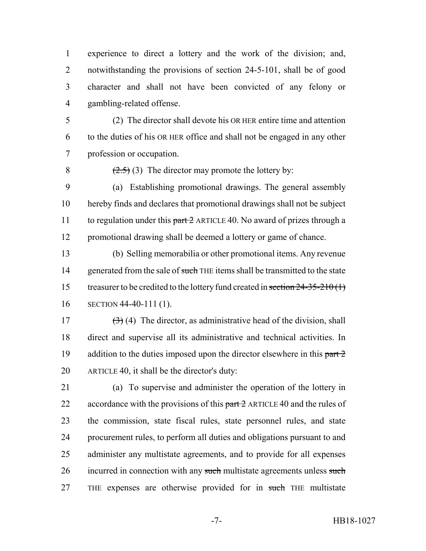experience to direct a lottery and the work of the division; and, notwithstanding the provisions of section 24-5-101, shall be of good character and shall not have been convicted of any felony or gambling-related offense.

 (2) The director shall devote his OR HER entire time and attention to the duties of his OR HER office and shall not be engaged in any other profession or occupation.

8  $(2.5)$  (3) The director may promote the lottery by:

 (a) Establishing promotional drawings. The general assembly hereby finds and declares that promotional drawings shall not be subject 11 to regulation under this  $part 2$  ARTICLE 40. No award of prizes through a promotional drawing shall be deemed a lottery or game of chance.

 (b) Selling memorabilia or other promotional items. Any revenue 14 generated from the sale of such THE items shall be transmitted to the state 15 treasurer to be credited to the lottery fund created in section 24-35-210(1) SECTION 44-40-111 (1).

 $(3)$  (4) The director, as administrative head of the division, shall direct and supervise all its administrative and technical activities. In 19 addition to the duties imposed upon the director elsewhere in this  $part 2$ ARTICLE 40, it shall be the director's duty:

 (a) To supervise and administer the operation of the lottery in 22 accordance with the provisions of this  $part 2$  ARTICLE 40 and the rules of the commission, state fiscal rules, state personnel rules, and state procurement rules, to perform all duties and obligations pursuant to and administer any multistate agreements, and to provide for all expenses 26 incurred in connection with any such multistate agreements unless such 27 THE expenses are otherwise provided for in such THE multistate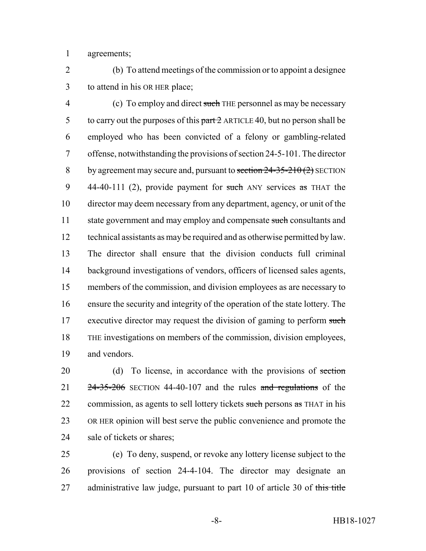agreements;

 (b) To attend meetings of the commission or to appoint a designee to attend in his OR HER place;

4 (c) To employ and direct such THE personnel as may be necessary 5 to carry out the purposes of this  $part 2$  ARTICLE 40, but no person shall be employed who has been convicted of a felony or gambling-related offense, notwithstanding the provisions of section 24-5-101. The director 8 by agreement may secure and, pursuant to section  $24-35-210(2)$  SECTION 9 44-40-111 (2), provide payment for such ANY services as THAT the director may deem necessary from any department, agency, or unit of the 11 state government and may employ and compensate such consultants and technical assistants as may be required and as otherwise permitted by law. The director shall ensure that the division conducts full criminal background investigations of vendors, officers of licensed sales agents, members of the commission, and division employees as are necessary to ensure the security and integrity of the operation of the state lottery. The 17 executive director may request the division of gaming to perform such THE investigations on members of the commission, division employees, and vendors.

20 (d) To license, in accordance with the provisions of section 21  $24-35-206$  SECTION 44-40-107 and the rules and regulations of the 22 commission, as agents to sell lottery tickets such persons as THAT in his OR HER opinion will best serve the public convenience and promote the sale of tickets or shares;

 (e) To deny, suspend, or revoke any lottery license subject to the provisions of section 24-4-104. The director may designate an 27 administrative law judge, pursuant to part 10 of article 30 of this title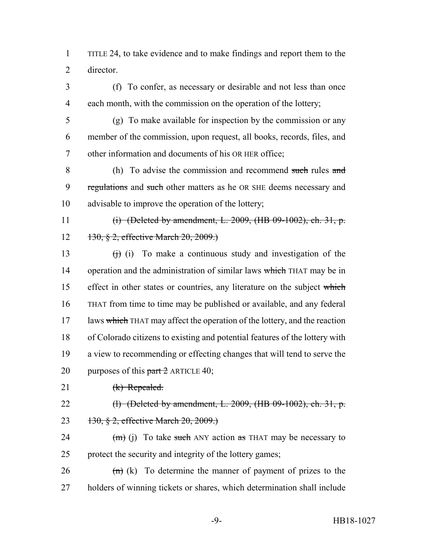1 TITLE 24, to take evidence and to make findings and report them to the 2 director.

3 (f) To confer, as necessary or desirable and not less than once 4 each month, with the commission on the operation of the lottery;

5 (g) To make available for inspection by the commission or any 6 member of the commission, upon request, all books, records, files, and 7 other information and documents of his OR HER office;

8 (h) To advise the commission and recommend such rules and 9 regulations and such other matters as he OR SHE deems necessary and 10 advisable to improve the operation of the lottery;

11 (i) (Deleted by amendment, L. 2009, (HB 09-1002), ch. 31, p. 12 130, § 2, effective March 20, 2009.)

13  $(i)$  To make a continuous study and investigation of the 14 operation and the administration of similar laws which THAT may be in 15 effect in other states or countries, any literature on the subject which 16 THAT from time to time may be published or available, and any federal 17 laws which THAT may affect the operation of the lottery, and the reaction 18 of Colorado citizens to existing and potential features of the lottery with 19 a view to recommending or effecting changes that will tend to serve the 20 purposes of this  $part 2$  ARTICLE 40;

- 21 (k) Repealed.
- 

- 22 (a) (Deleted by amendment, L. 2009, (HB 09-1002), ch. 31, p.
- 23 130, § 2, effective March 20, 2009.)

24  $(m)$  (j) To take such ANY action as THAT may be necessary to 25 protect the security and integrity of the lottery games;

 $26$  (n) (k) To determine the manner of payment of prizes to the 27 holders of winning tickets or shares, which determination shall include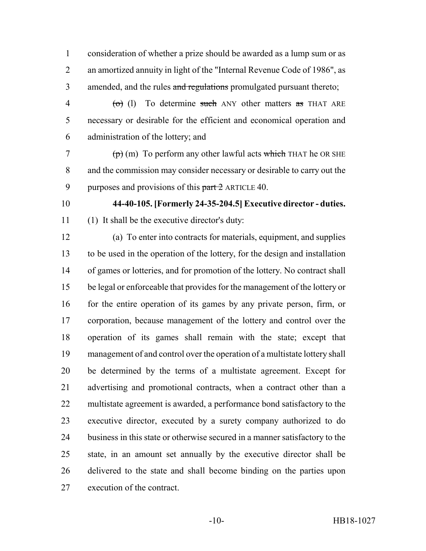consideration of whether a prize should be awarded as a lump sum or as an amortized annuity in light of the "Internal Revenue Code of 1986", as 3 amended, and the rules and regulations promulgated pursuant thereto;

 $\phi$  (d) To determine such ANY other matters as THAT ARE necessary or desirable for the efficient and economical operation and administration of the lottery; and

 $7 \left( p \right)$  (m) To perform any other lawful acts which THAT he OR SHE and the commission may consider necessary or desirable to carry out the 9 purposes and provisions of this  $part 2$  ARTICLE 40.

 **44-40-105. [Formerly 24-35-204.5] Executive director - duties.** (1) It shall be the executive director's duty:

 (a) To enter into contracts for materials, equipment, and supplies to be used in the operation of the lottery, for the design and installation of games or lotteries, and for promotion of the lottery. No contract shall be legal or enforceable that provides for the management of the lottery or 16 for the entire operation of its games by any private person, firm, or corporation, because management of the lottery and control over the operation of its games shall remain with the state; except that management of and control over the operation of a multistate lottery shall be determined by the terms of a multistate agreement. Except for advertising and promotional contracts, when a contract other than a multistate agreement is awarded, a performance bond satisfactory to the executive director, executed by a surety company authorized to do business in this state or otherwise secured in a manner satisfactory to the state, in an amount set annually by the executive director shall be delivered to the state and shall become binding on the parties upon execution of the contract.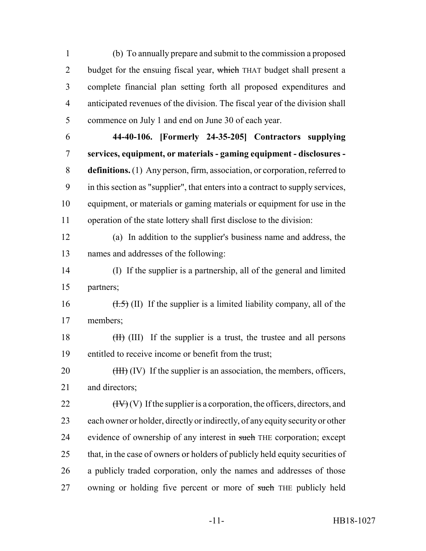(b) To annually prepare and submit to the commission a proposed 2 budget for the ensuing fiscal year, which THAT budget shall present a complete financial plan setting forth all proposed expenditures and anticipated revenues of the division. The fiscal year of the division shall commence on July 1 and end on June 30 of each year.

 **44-40-106. [Formerly 24-35-205] Contractors supplying services, equipment, or materials - gaming equipment - disclosures - definitions.** (1) Any person, firm, association, or corporation, referred to in this section as "supplier", that enters into a contract to supply services, equipment, or materials or gaming materials or equipment for use in the operation of the state lottery shall first disclose to the division:

 (a) In addition to the supplier's business name and address, the names and addresses of the following:

 (I) If the supplier is a partnership, all of the general and limited partners;

16  $(H.5)$  (II) If the supplier is a limited liability company, all of the members;

18 (III) If the supplier is a trust, the trustee and all persons entitled to receive income or benefit from the trust;

20 (HH) (IV) If the supplier is an association, the members, officers, 21 and directors:

22  $(HV)(V)$  If the supplier is a corporation, the officers, directors, and each owner or holder, directly or indirectly, of any equity security or other 24 evidence of ownership of any interest in such THE corporation; except 25 that, in the case of owners or holders of publicly held equity securities of a publicly traded corporation, only the names and addresses of those 27 owning or holding five percent or more of such THE publicly held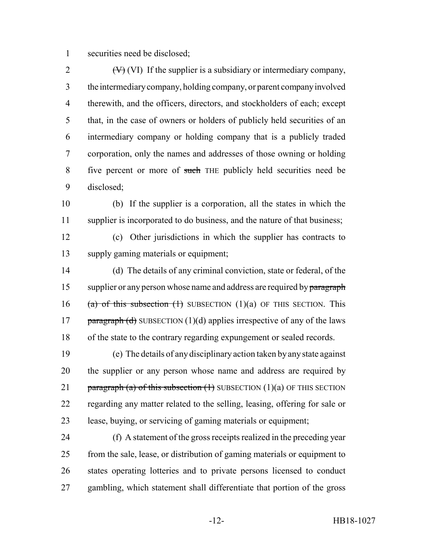securities need be disclosed;

 $(V)$  (VI) If the supplier is a subsidiary or intermediary company, the intermediary company, holding company, or parent company involved therewith, and the officers, directors, and stockholders of each; except that, in the case of owners or holders of publicly held securities of an intermediary company or holding company that is a publicly traded corporation, only the names and addresses of those owning or holding five percent or more of such THE publicly held securities need be disclosed;

 (b) If the supplier is a corporation, all the states in which the 11 supplier is incorporated to do business, and the nature of that business;

 (c) Other jurisdictions in which the supplier has contracts to supply gaming materials or equipment;

 (d) The details of any criminal conviction, state or federal, of the 15 supplier or any person whose name and address are required by paragraph 16 (a) of this subsection  $(1)$  SUBSECTION  $(1)(a)$  OF THIS SECTION. This 17 paragraph (d) SUBSECTION (1)(d) applies irrespective of any of the laws of the state to the contrary regarding expungement or sealed records.

 (e) The details of any disciplinary action taken by any state against the supplier or any person whose name and address are required by 21 paragraph (a) of this subsection  $(1)$  SUBSECTION  $(1)(a)$  OF THIS SECTION regarding any matter related to the selling, leasing, offering for sale or lease, buying, or servicing of gaming materials or equipment;

 (f) A statement of the gross receipts realized in the preceding year from the sale, lease, or distribution of gaming materials or equipment to states operating lotteries and to private persons licensed to conduct gambling, which statement shall differentiate that portion of the gross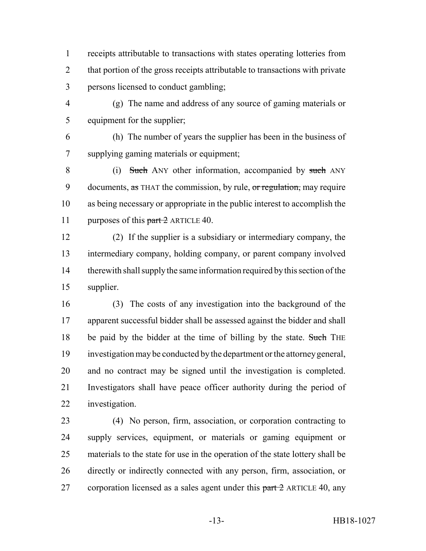receipts attributable to transactions with states operating lotteries from 2 that portion of the gross receipts attributable to transactions with private persons licensed to conduct gambling;

 (g) The name and address of any source of gaming materials or equipment for the supplier;

 (h) The number of years the supplier has been in the business of supplying gaming materials or equipment;

8 (i) Such ANY other information, accompanied by such ANY 9 documents, as THAT the commission, by rule, or regulation, may require as being necessary or appropriate in the public interest to accomplish the 11 purposes of this part 2 ARTICLE 40.

 (2) If the supplier is a subsidiary or intermediary company, the intermediary company, holding company, or parent company involved therewith shall supply the same information required by this section of the supplier.

 (3) The costs of any investigation into the background of the apparent successful bidder shall be assessed against the bidder and shall 18 be paid by the bidder at the time of billing by the state. Such THE investigation may be conducted by the department or the attorney general, and no contract may be signed until the investigation is completed. Investigators shall have peace officer authority during the period of investigation.

 (4) No person, firm, association, or corporation contracting to supply services, equipment, or materials or gaming equipment or materials to the state for use in the operation of the state lottery shall be directly or indirectly connected with any person, firm, association, or 27 corporation licensed as a sales agent under this  $part 2$  ARTICLE 40, any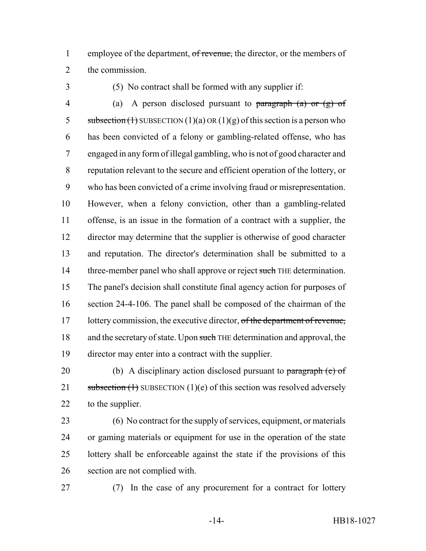1 employee of the department, of revenue, the director, or the members of the commission.

(5) No contract shall be formed with any supplier if:

4 (a) A person disclosed pursuant to paragraph (a) or  $(g)$  of 5 subsection (1) SUBSECTION (1)(a) OR (1)(g) of this section is a person who has been convicted of a felony or gambling-related offense, who has engaged in any form of illegal gambling, who is not of good character and reputation relevant to the secure and efficient operation of the lottery, or who has been convicted of a crime involving fraud or misrepresentation. However, when a felony conviction, other than a gambling-related offense, is an issue in the formation of a contract with a supplier, the director may determine that the supplier is otherwise of good character and reputation. The director's determination shall be submitted to a 14 three-member panel who shall approve or reject such THE determination. The panel's decision shall constitute final agency action for purposes of section 24-4-106. The panel shall be composed of the chairman of the 17 lottery commission, the executive director, of the department of revenue, 18 and the secretary of state. Upon such THE determination and approval, the director may enter into a contract with the supplier.

20 (b) A disciplinary action disclosed pursuant to paragraph  $(e)$  of 21 subsection  $(1)$  SUBSECTION  $(1)(e)$  of this section was resolved adversely to the supplier.

 (6) No contract for the supply of services, equipment, or materials or gaming materials or equipment for use in the operation of the state lottery shall be enforceable against the state if the provisions of this section are not complied with.

(7) In the case of any procurement for a contract for lottery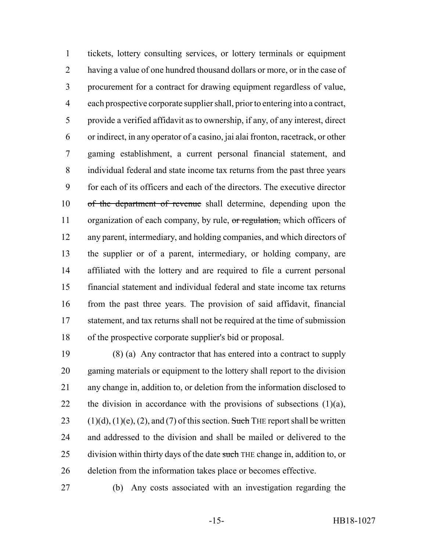tickets, lottery consulting services, or lottery terminals or equipment having a value of one hundred thousand dollars or more, or in the case of procurement for a contract for drawing equipment regardless of value, each prospective corporate supplier shall, prior to entering into a contract, provide a verified affidavit as to ownership, if any, of any interest, direct or indirect, in any operator of a casino, jai alai fronton, racetrack, or other gaming establishment, a current personal financial statement, and individual federal and state income tax returns from the past three years for each of its officers and each of the directors. The executive director of the department of revenue shall determine, depending upon the 11 organization of each company, by rule, or regulation, which officers of any parent, intermediary, and holding companies, and which directors of the supplier or of a parent, intermediary, or holding company, are affiliated with the lottery and are required to file a current personal financial statement and individual federal and state income tax returns from the past three years. The provision of said affidavit, financial statement, and tax returns shall not be required at the time of submission of the prospective corporate supplier's bid or proposal.

 (8) (a) Any contractor that has entered into a contract to supply gaming materials or equipment to the lottery shall report to the division any change in, addition to, or deletion from the information disclosed to 22 the division in accordance with the provisions of subsections  $(1)(a)$ , 23 (1)(d), (1)(e), (2), and (7) of this section. Such THE report shall be written and addressed to the division and shall be mailed or delivered to the 25 division within thirty days of the date such THE change in, addition to, or deletion from the information takes place or becomes effective.

(b) Any costs associated with an investigation regarding the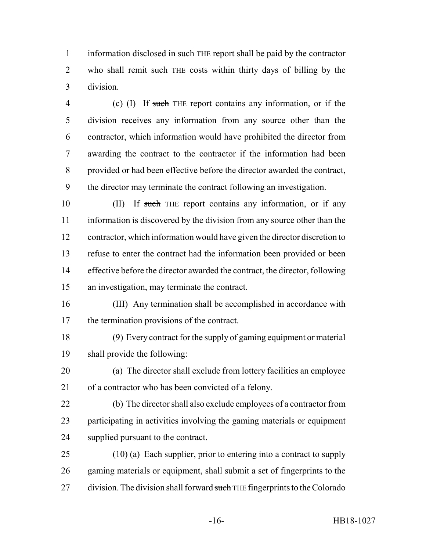1 information disclosed in such THE report shall be paid by the contractor 2 who shall remit such THE costs within thirty days of billing by the division.

 (c) (I) If such THE report contains any information, or if the division receives any information from any source other than the contractor, which information would have prohibited the director from awarding the contract to the contractor if the information had been provided or had been effective before the director awarded the contract, the director may terminate the contract following an investigation.

10 (II) If such THE report contains any information, or if any information is discovered by the division from any source other than the contractor, which information would have given the director discretion to refuse to enter the contract had the information been provided or been effective before the director awarded the contract, the director, following an investigation, may terminate the contract.

- (III) Any termination shall be accomplished in accordance with the termination provisions of the contract.
- (9) Every contract for the supply of gaming equipment or material shall provide the following:
- (a) The director shall exclude from lottery facilities an employee of a contractor who has been convicted of a felony.
- (b) The director shall also exclude employees of a contractor from participating in activities involving the gaming materials or equipment supplied pursuant to the contract.
- (10) (a) Each supplier, prior to entering into a contract to supply gaming materials or equipment, shall submit a set of fingerprints to the 27 division. The division shall forward such THE fingerprints to the Colorado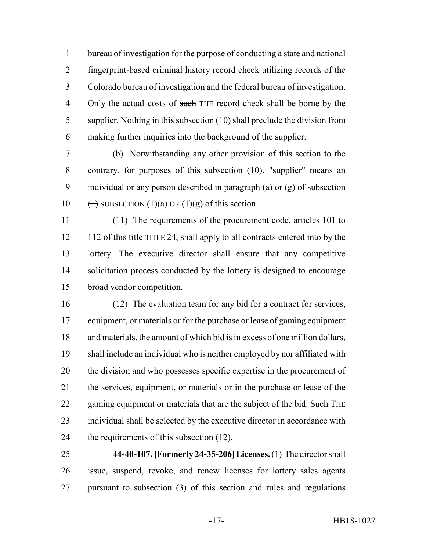bureau of investigation for the purpose of conducting a state and national fingerprint-based criminal history record check utilizing records of the Colorado bureau of investigation and the federal bureau of investigation. 4 Only the actual costs of such THE record check shall be borne by the supplier. Nothing in this subsection (10) shall preclude the division from making further inquiries into the background of the supplier.

 (b) Notwithstanding any other provision of this section to the contrary, for purposes of this subsection (10), "supplier" means an 9 individual or any person described in paragraph  $(a)$  or  $(g)$  of subsection  $(\text{+)}$  SUBSECTION (1)(a) OR (1)(g) of this section.

 (11) The requirements of the procurement code, articles 101 to 12 112 of this title TITLE 24, shall apply to all contracts entered into by the lottery. The executive director shall ensure that any competitive 14 solicitation process conducted by the lottery is designed to encourage broad vendor competition.

 (12) The evaluation team for any bid for a contract for services, equipment, or materials or for the purchase or lease of gaming equipment and materials, the amount of which bid is in excess of one million dollars, shall include an individual who is neither employed by nor affiliated with the division and who possesses specific expertise in the procurement of the services, equipment, or materials or in the purchase or lease of the 22 gaming equipment or materials that are the subject of the bid. Such THE individual shall be selected by the executive director in accordance with 24 the requirements of this subsection (12).

 **44-40-107. [Formerly 24-35-206] Licenses.** (1) The director shall issue, suspend, revoke, and renew licenses for lottery sales agents 27 pursuant to subsection (3) of this section and rules and regulations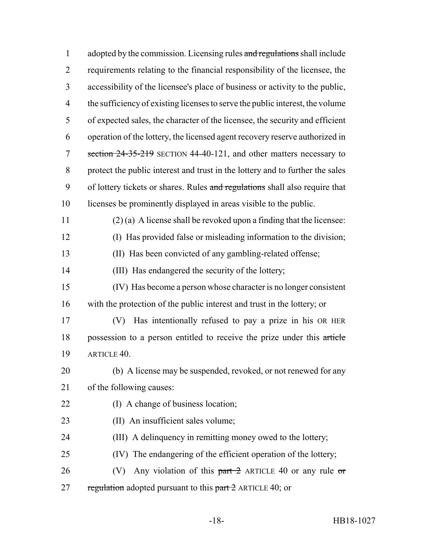| $\mathbf{1}$   | adopted by the commission. Licensing rules and regulations shall include      |
|----------------|-------------------------------------------------------------------------------|
| $\overline{2}$ | requirements relating to the financial responsibility of the licensee, the    |
| 3              | accessibility of the licensee's place of business or activity to the public,  |
| $\overline{4}$ | the sufficiency of existing licenses to serve the public interest, the volume |
| 5              | of expected sales, the character of the licensee, the security and efficient  |
| 6              | operation of the lottery, the licensed agent recovery reserve authorized in   |
| 7              | section 24-35-219 SECTION 44-40-121, and other matters necessary to           |
| 8              | protect the public interest and trust in the lottery and to further the sales |
| 9              | of lottery tickets or shares. Rules and regulations shall also require that   |
| 10             | licenses be prominently displayed in areas visible to the public.             |
| 11             | $(2)$ (a) A license shall be revoked upon a finding that the licensee:        |
| 12             | (I) Has provided false or misleading information to the division;             |
| 13             | (II) Has been convicted of any gambling-related offense;                      |
| 14             | (III) Has endangered the security of the lottery;                             |
| 15             | (IV) Has become a person whose character is no longer consistent              |
| 16             | with the protection of the public interest and trust in the lottery; or       |
| 17             | Has intentionally refused to pay a prize in his OR HER<br>(V)                 |
| 18             | possession to a person entitled to receive the prize under this article       |
| 19             | ARTICLE 40.                                                                   |
| 20             | (b) A license may be suspended, revoked, or not renewed for any               |
| 21             | of the following causes:                                                      |
| 22             | (I) A change of business location;                                            |
| 23             | (II) An insufficient sales volume;                                            |
| 24             | (III) A delinquency in remitting money owed to the lottery;                   |
| 25             | (IV) The endangering of the efficient operation of the lottery;               |
| 26             | Any violation of this $part 2$ ARTICLE 40 or any rule or<br>(V)               |
| 27             | regulation adopted pursuant to this $part 2$ ARTICLE 40; or                   |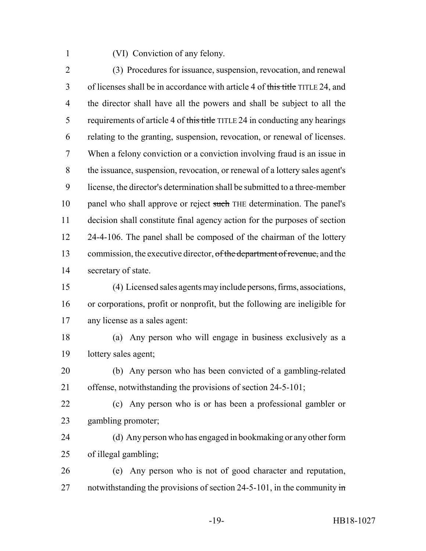(VI) Conviction of any felony.

 (3) Procedures for issuance, suspension, revocation, and renewal of licenses shall be in accordance with article 4 of this title TITLE 24, and the director shall have all the powers and shall be subject to all the 5 requirements of article 4 of this title TITLE 24 in conducting any hearings relating to the granting, suspension, revocation, or renewal of licenses. When a felony conviction or a conviction involving fraud is an issue in the issuance, suspension, revocation, or renewal of a lottery sales agent's license, the director's determination shall be submitted to a three-member 10 panel who shall approve or reject such THE determination. The panel's decision shall constitute final agency action for the purposes of section 12 24-4-106. The panel shall be composed of the chairman of the lottery 13 commission, the executive director, of the department of revenue, and the secretary of state.

 (4) Licensed sales agents may include persons, firms, associations, or corporations, profit or nonprofit, but the following are ineligible for any license as a sales agent:

 (a) Any person who will engage in business exclusively as a lottery sales agent;

 (b) Any person who has been convicted of a gambling-related offense, notwithstanding the provisions of section 24-5-101;

 (c) Any person who is or has been a professional gambler or gambling promoter;

 (d) Any person who has engaged in bookmaking or any other form of illegal gambling;

 (e) Any person who is not of good character and reputation, 27 notwithstanding the provisions of section 24-5-101, in the community  $\frac{1}{2}$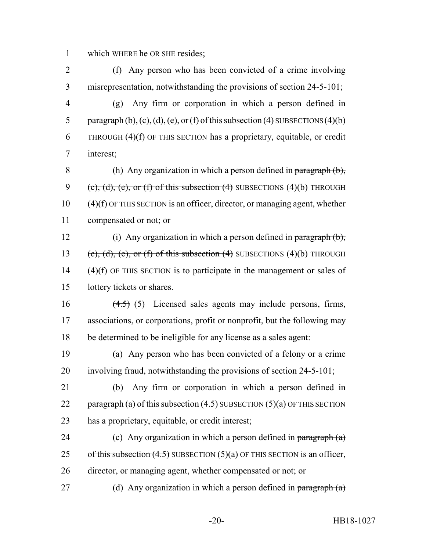1 which WHERE he OR SHE resides;

 (f) Any person who has been convicted of a crime involving misrepresentation, notwithstanding the provisions of section 24-5-101; (g) Any firm or corporation in which a person defined in 5 paragraph (b), (c), (d), (e), or (f) of this subsection (4) SUBSECTIONS (4)(b) THROUGH (4)(f) OF THIS SECTION has a proprietary, equitable, or credit interest; 8 (h) Any organization in which a person defined in paragraph  $(b)$ , 9 (e),  $(d)$ ,  $(e)$ , or  $(f)$  of this subsection  $(4)$  SUBSECTIONS  $(4)(b)$  THROUGH

10 (4)(f) OF THIS SECTION is an officer, director, or managing agent, whether 11 compensated or not; or

12 (i) Any organization in which a person defined in paragraph (b), 13 (c), (d), (e), or (f) of this subsection  $(4)$  SUBSECTIONS  $(4)(b)$  THROUGH 14 (4)(f) OF THIS SECTION is to participate in the management or sales of 15 lottery tickets or shares.

16  $(4.5)$  (5) Licensed sales agents may include persons, firms, 17 associations, or corporations, profit or nonprofit, but the following may 18 be determined to be ineligible for any license as a sales agent:

19 (a) Any person who has been convicted of a felony or a crime 20 involving fraud, notwithstanding the provisions of section 24-5-101;

21 (b) Any firm or corporation in which a person defined in 22 paragraph (a) of this subsection  $(4.5)$  SUBSECTION  $(5)(a)$  OF THIS SECTION 23 has a proprietary, equitable, or credit interest;

24 (c) Any organization in which a person defined in paragraph  $(a)$ 25 of this subsection  $(4.5)$  SUBSECTION  $(5)(a)$  OF THIS SECTION is an officer, 26 director, or managing agent, whether compensated or not; or

27 (d) Any organization in which a person defined in paragraph  $(a)$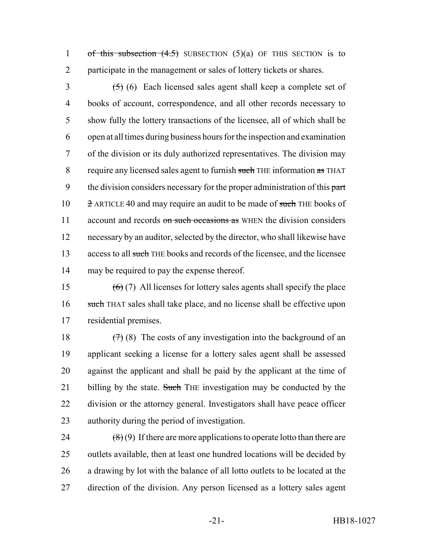1 of this subsection  $(4.5)$  SUBSECTION  $(5)(a)$  OF THIS SECTION is to 2 participate in the management or sales of lottery tickets or shares.

 $\left( \frac{5}{5} \right)$  (6) Each licensed sales agent shall keep a complete set of 4 books of account, correspondence, and all other records necessary to 5 show fully the lottery transactions of the licensee, all of which shall be 6 open at all times during business hours for the inspection and examination 7 of the division or its duly authorized representatives. The division may 8 require any licensed sales agent to furnish such THE information as THAT 9 the division considers necessary for the proper administration of this part 10 2 ARTICLE 40 and may require an audit to be made of such THE books of 11 account and records on such occasions as WHEN the division considers 12 necessary by an auditor, selected by the director, who shall likewise have 13 access to all such THE books and records of the licensee, and the licensee 14 may be required to pay the expense thereof.

15  $(6)(7)$  All licenses for lottery sales agents shall specify the place 16 such THAT sales shall take place, and no license shall be effective upon 17 residential premises.

 $(7)(8)$  The costs of any investigation into the background of an applicant seeking a license for a lottery sales agent shall be assessed against the applicant and shall be paid by the applicant at the time of 21 billing by the state. Such THE investigation may be conducted by the division or the attorney general. Investigators shall have peace officer authority during the period of investigation.

 $(\sqrt{8})(9)$  If there are more applications to operate lotto than there are outlets available, then at least one hundred locations will be decided by a drawing by lot with the balance of all lotto outlets to be located at the direction of the division. Any person licensed as a lottery sales agent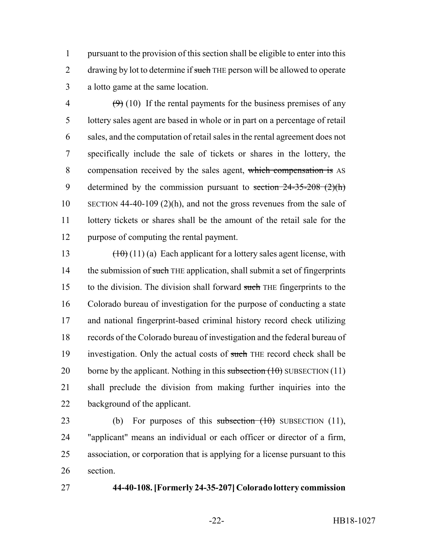pursuant to the provision of this section shall be eligible to enter into this 2 drawing by lot to determine if such THE person will be allowed to operate a lotto game at the same location.

 $\left(\frac{9}{9}\right)$  (10) If the rental payments for the business premises of any lottery sales agent are based in whole or in part on a percentage of retail sales, and the computation of retail sales in the rental agreement does not specifically include the sale of tickets or shares in the lottery, the compensation received by the sales agent, which compensation is AS 9 determined by the commission pursuant to section  $24-35-208$   $(2)(h)$  SECTION 44-40-109 (2)(h), and not the gross revenues from the sale of lottery tickets or shares shall be the amount of the retail sale for the purpose of computing the rental payment.

13  $(10)(1)(a)$  Each applicant for a lottery sales agent license, with 14 the submission of such THE application, shall submit a set of fingerprints 15 to the division. The division shall forward such THE fingerprints to the Colorado bureau of investigation for the purpose of conducting a state and national fingerprint-based criminal history record check utilizing records of the Colorado bureau of investigation and the federal bureau of 19 investigation. Only the actual costs of such THE record check shall be 20 borne by the applicant. Nothing in this subsection  $(10)$  SUBSECTION  $(11)$  shall preclude the division from making further inquiries into the background of the applicant.

23 (b) For purposes of this subsection  $(10)$  SUBSECTION  $(11)$ , "applicant" means an individual or each officer or director of a firm, association, or corporation that is applying for a license pursuant to this section.

#### **44-40-108. [Formerly 24-35-207] Colorado lottery commission**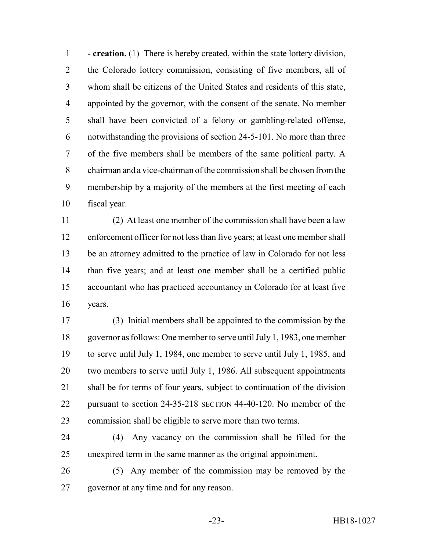**- creation.** (1) There is hereby created, within the state lottery division, the Colorado lottery commission, consisting of five members, all of whom shall be citizens of the United States and residents of this state, appointed by the governor, with the consent of the senate. No member shall have been convicted of a felony or gambling-related offense, notwithstanding the provisions of section 24-5-101. No more than three of the five members shall be members of the same political party. A chairman and a vice-chairman of the commission shall be chosen from the membership by a majority of the members at the first meeting of each fiscal year.

 (2) At least one member of the commission shall have been a law enforcement officer for not less than five years; at least one member shall be an attorney admitted to the practice of law in Colorado for not less than five years; and at least one member shall be a certified public accountant who has practiced accountancy in Colorado for at least five years.

 (3) Initial members shall be appointed to the commission by the governor as follows: One member to serve until July 1, 1983, one member to serve until July 1, 1984, one member to serve until July 1, 1985, and two members to serve until July 1, 1986. All subsequent appointments shall be for terms of four years, subject to continuation of the division 22 pursuant to section 24-35-218 SECTION 44-40-120. No member of the commission shall be eligible to serve more than two terms.

 (4) Any vacancy on the commission shall be filled for the unexpired term in the same manner as the original appointment.

 (5) Any member of the commission may be removed by the governor at any time and for any reason.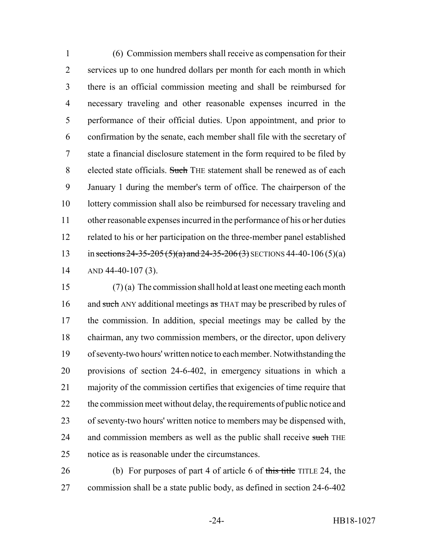(6) Commission members shall receive as compensation for their services up to one hundred dollars per month for each month in which there is an official commission meeting and shall be reimbursed for necessary traveling and other reasonable expenses incurred in the performance of their official duties. Upon appointment, and prior to confirmation by the senate, each member shall file with the secretary of state a financial disclosure statement in the form required to be filed by 8 elected state officials. Such THE statement shall be renewed as of each January 1 during the member's term of office. The chairperson of the lottery commission shall also be reimbursed for necessary traveling and other reasonable expenses incurred in the performance of his or her duties related to his or her participation on the three-member panel established 13 in sections 24-35-205 (5)(a) and 24-35-206 (3) SECTIONS 44-40-106 (5)(a) AND 44-40-107 (3).

 (7) (a) The commission shall hold at least one meeting each month 16 and such ANY additional meetings as THAT may be prescribed by rules of the commission. In addition, special meetings may be called by the chairman, any two commission members, or the director, upon delivery of seventy-two hours' written notice to each member. Notwithstanding the provisions of section 24-6-402, in emergency situations in which a majority of the commission certifies that exigencies of time require that 22 the commission meet without delay, the requirements of public notice and of seventy-two hours' written notice to members may be dispensed with, 24 and commission members as well as the public shall receive such THE notice as is reasonable under the circumstances.

26 (b) For purposes of part 4 of article 6 of this title TITLE 24, the commission shall be a state public body, as defined in section 24-6-402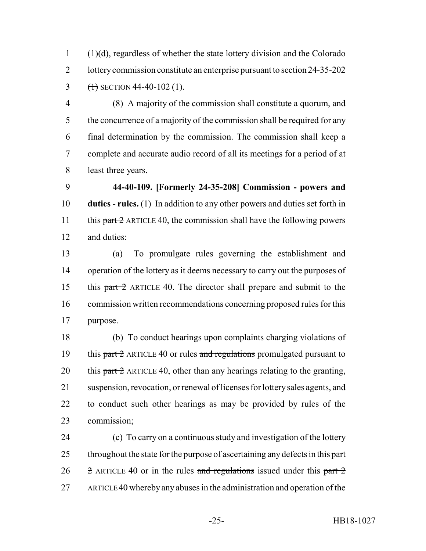(1)(d), regardless of whether the state lottery division and the Colorado 2 lottery commission constitute an enterprise pursuant to section 24-35-202 3  $(1)$  SECTION 44-40-102 (1).

 (8) A majority of the commission shall constitute a quorum, and 5 the concurrence of a majority of the commission shall be required for any final determination by the commission. The commission shall keep a complete and accurate audio record of all its meetings for a period of at least three years.

 **44-40-109. [Formerly 24-35-208] Commission - powers and duties - rules.** (1) In addition to any other powers and duties set forth in 11 this  $part 2$  ARTICLE 40, the commission shall have the following powers and duties:

 (a) To promulgate rules governing the establishment and operation of the lottery as it deems necessary to carry out the purposes of this part 2 ARTICLE 40. The director shall prepare and submit to the commission written recommendations concerning proposed rules for this purpose.

 (b) To conduct hearings upon complaints charging violations of 19 this part  $\frac{1}{2}$  ARTICLE 40 or rules and regulations promulgated pursuant to 20 this  $part 2$  ARTICLE 40, other than any hearings relating to the granting, suspension, revocation, or renewal of licenses for lottery sales agents, and 22 to conduct such other hearings as may be provided by rules of the commission;

 (c) To carry on a continuous study and investigation of the lottery 25 throughout the state for the purpose of ascertaining any defects in this part  $\frac{1}{2}$  ARTICLE 40 or in the rules and regulations issued under this part 2 ARTICLE 40 whereby any abuses in the administration and operation of the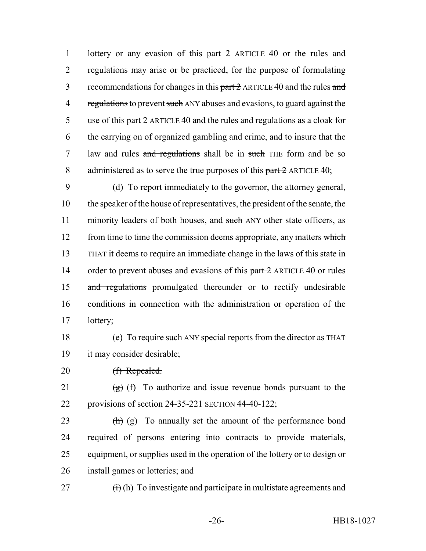1 lottery or any evasion of this part 2 ARTICLE 40 or the rules and 2 regulations may arise or be practiced, for the purpose of formulating 3 recommendations for changes in this part 2 ARTICLE 40 and the rules and 4 regulations to prevent such ANY abuses and evasions, to guard against the 5 use of this part  $\frac{2}{2}$  ARTICLE 40 and the rules and regulations as a cloak for 6 the carrying on of organized gambling and crime, and to insure that the 7 law and rules and regulations shall be in such THE form and be so 8 administered as to serve the true purposes of this part 2 ARTICLE 40;

9 (d) To report immediately to the governor, the attorney general, 10 the speaker of the house of representatives, the president of the senate, the 11 minority leaders of both houses, and such ANY other state officers, as 12 from time to time the commission deems appropriate, any matters which 13 THAT it deems to require an immediate change in the laws of this state in 14 order to prevent abuses and evasions of this part 2 ARTICLE 40 or rules 15 and regulations promulgated thereunder or to rectify undesirable 16 conditions in connection with the administration or operation of the 17 lottery;

18 (e) To require such ANY special reports from the director as THAT 19 it may consider desirable;

20 <del>(f) Repealed.</del>

21  $(g)$  (f) To authorize and issue revenue bonds pursuant to the 22 provisions of section 24-35-221 SECTION 44-40-122;

 $(h)$  (g) To annually set the amount of the performance bond required of persons entering into contracts to provide materials, equipment, or supplies used in the operation of the lottery or to design or install games or lotteries; and

27  $(i)$  (h) To investigate and participate in multistate agreements and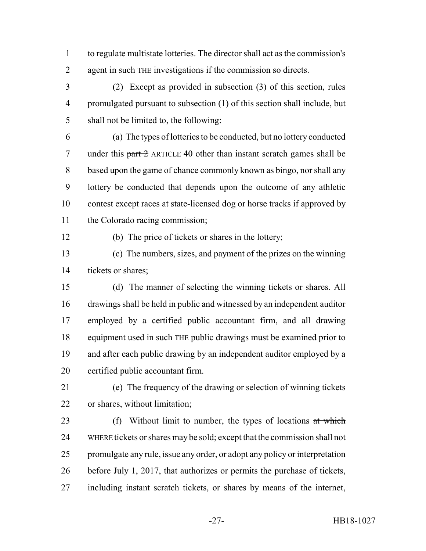to regulate multistate lotteries. The director shall act as the commission's 2 agent in such THE investigations if the commission so directs.

 (2) Except as provided in subsection (3) of this section, rules promulgated pursuant to subsection (1) of this section shall include, but shall not be limited to, the following:

 (a) The types of lotteries to be conducted, but no lottery conducted 7 under this part 2 ARTICLE 40 other than instant scratch games shall be based upon the game of chance commonly known as bingo, nor shall any lottery be conducted that depends upon the outcome of any athletic contest except races at state-licensed dog or horse tracks if approved by the Colorado racing commission;

(b) The price of tickets or shares in the lottery;

 (c) The numbers, sizes, and payment of the prizes on the winning tickets or shares;

- (d) The manner of selecting the winning tickets or shares. All drawings shall be held in public and witnessed by an independent auditor employed by a certified public accountant firm, and all drawing 18 equipment used in such THE public drawings must be examined prior to and after each public drawing by an independent auditor employed by a certified public accountant firm.
- 

 (e) The frequency of the drawing or selection of winning tickets or shares, without limitation;

23 (f) Without limit to number, the types of locations at which WHERE tickets or shares may be sold; except that the commission shall not promulgate any rule, issue any order, or adopt any policy or interpretation before July 1, 2017, that authorizes or permits the purchase of tickets, including instant scratch tickets, or shares by means of the internet,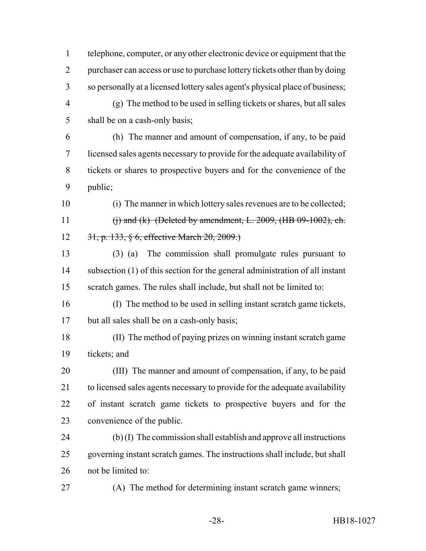telephone, computer, or any other electronic device or equipment that the purchaser can access or use to purchase lottery tickets other than by doing so personally at a licensed lottery sales agent's physical place of business; (g) The method to be used in selling tickets or shares, but all sales

5 shall be on a cash-only basis;

 (h) The manner and amount of compensation, if any, to be paid licensed sales agents necessary to provide for the adequate availability of tickets or shares to prospective buyers and for the convenience of the public;

 (i) The manner in which lottery sales revenues are to be collected; 11 (i) and (k) (Deleted by amendment, L. 2009, (HB 09-1002), ch. 31, p. 133, § 6, effective March 20, 2009.)

 (3) (a) The commission shall promulgate rules pursuant to subsection (1) of this section for the general administration of all instant scratch games. The rules shall include, but shall not be limited to:

 (I) The method to be used in selling instant scratch game tickets, but all sales shall be on a cash-only basis;

 (II) The method of paying prizes on winning instant scratch game tickets; and

 (III) The manner and amount of compensation, if any, to be paid to licensed sales agents necessary to provide for the adequate availability of instant scratch game tickets to prospective buyers and for the convenience of the public.

 (b) (I) The commission shall establish and approve all instructions governing instant scratch games. The instructions shall include, but shall not be limited to:

(A) The method for determining instant scratch game winners;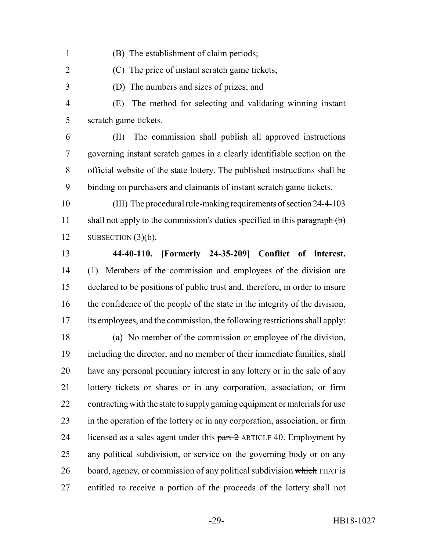- (B) The establishment of claim periods;
- (C) The price of instant scratch game tickets;
- (D) The numbers and sizes of prizes; and

 (E) The method for selecting and validating winning instant scratch game tickets.

 (II) The commission shall publish all approved instructions governing instant scratch games in a clearly identifiable section on the official website of the state lottery. The published instructions shall be binding on purchasers and claimants of instant scratch game tickets.

 (III) The procedural rule-making requirements of section 24-4-103 11 shall not apply to the commission's duties specified in this paragraph  $(b)$ 12 SUBSECTION  $(3)(b)$ .

 **44-40-110. [Formerly 24-35-209] Conflict of interest.** (1) Members of the commission and employees of the division are declared to be positions of public trust and, therefore, in order to insure the confidence of the people of the state in the integrity of the division, its employees, and the commission, the following restrictions shall apply:

 (a) No member of the commission or employee of the division, including the director, and no member of their immediate families, shall have any personal pecuniary interest in any lottery or in the sale of any lottery tickets or shares or in any corporation, association, or firm contracting with the state to supply gaming equipment or materials for use in the operation of the lottery or in any corporation, association, or firm 24 licensed as a sales agent under this  $part 2$  ARTICLE 40. Employment by any political subdivision, or service on the governing body or on any 26 board, agency, or commission of any political subdivision which THAT is entitled to receive a portion of the proceeds of the lottery shall not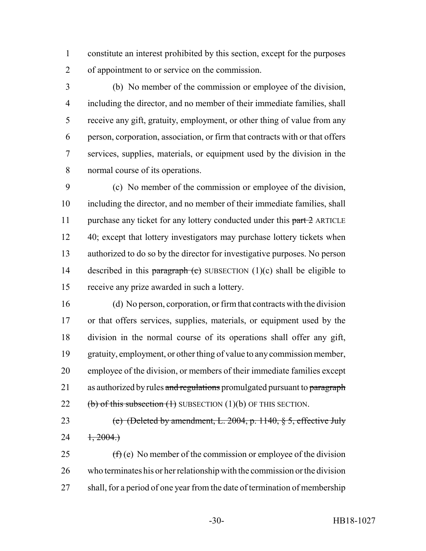constitute an interest prohibited by this section, except for the purposes of appointment to or service on the commission.

 (b) No member of the commission or employee of the division, including the director, and no member of their immediate families, shall receive any gift, gratuity, employment, or other thing of value from any person, corporation, association, or firm that contracts with or that offers services, supplies, materials, or equipment used by the division in the normal course of its operations.

 (c) No member of the commission or employee of the division, including the director, and no member of their immediate families, shall 11 purchase any ticket for any lottery conducted under this part 2 ARTICLE 12 40; except that lottery investigators may purchase lottery tickets when authorized to do so by the director for investigative purposes. No person 14 described in this paragraph (c) SUBSECTION  $(1)(c)$  shall be eligible to receive any prize awarded in such a lottery.

 (d) No person, corporation, or firm that contracts with the division or that offers services, supplies, materials, or equipment used by the division in the normal course of its operations shall offer any gift, gratuity, employment, or other thing of value to any commission member, employee of the division, or members of their immediate families except 21 as authorized by rules and regulations promulgated pursuant to paragraph  $(b)$  of this subsection  $(1)$  SUBSECTION  $(1)(b)$  OF THIS SECTION.

 (e) (Deleted by amendment, L. 2004, p. 1140, § 5, effective July 24  $1, 2004.$ 

25  $(f)(e)$  No member of the commission or employee of the division who terminates his or her relationship with the commission or the division shall, for a period of one year from the date of termination of membership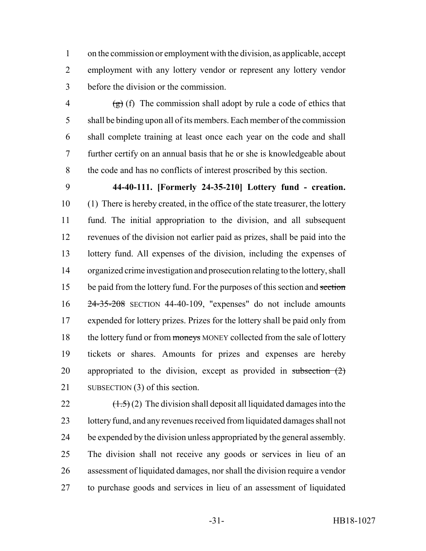on the commission or employment with the division, as applicable, accept employment with any lottery vendor or represent any lottery vendor before the division or the commission.

 $\left(\frac{1}{2}\right)$  (f) The commission shall adopt by rule a code of ethics that shall be binding upon all of its members. Each member of the commission shall complete training at least once each year on the code and shall further certify on an annual basis that he or she is knowledgeable about the code and has no conflicts of interest proscribed by this section.

 **44-40-111. [Formerly 24-35-210] Lottery fund - creation.** (1) There is hereby created, in the office of the state treasurer, the lottery fund. The initial appropriation to the division, and all subsequent revenues of the division not earlier paid as prizes, shall be paid into the lottery fund. All expenses of the division, including the expenses of organized crime investigation and prosecution relating to the lottery, shall 15 be paid from the lottery fund. For the purposes of this section and section 24-35-208 SECTION 44-40-109, "expenses" do not include amounts expended for lottery prizes. Prizes for the lottery shall be paid only from 18 the lottery fund or from moneys MONEY collected from the sale of lottery tickets or shares. Amounts for prizes and expenses are hereby 20 appropriated to the division, except as provided in subsection  $(2)$ 21 SUBSECTION (3) of this section.

 $(\frac{1.5}{2})$  (2) The division shall deposit all liquidated damages into the 23 lottery fund, and any revenues received from liquidated damages shall not be expended by the division unless appropriated by the general assembly. The division shall not receive any goods or services in lieu of an assessment of liquidated damages, nor shall the division require a vendor to purchase goods and services in lieu of an assessment of liquidated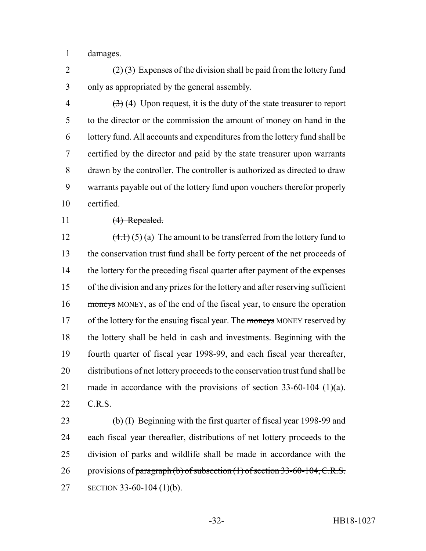damages.

2  $(2)(3)$  Expenses of the division shall be paid from the lottery fund only as appropriated by the general assembly.

 $(3)$  (4) Upon request, it is the duty of the state treasurer to report to the director or the commission the amount of money on hand in the lottery fund. All accounts and expenditures from the lottery fund shall be certified by the director and paid by the state treasurer upon warrants drawn by the controller. The controller is authorized as directed to draw warrants payable out of the lottery fund upon vouchers therefor properly certified.

## 11 (4) Repealed.

 $(4.1)(5)(a)$  The amount to be transferred from the lottery fund to the conservation trust fund shall be forty percent of the net proceeds of 14 the lottery for the preceding fiscal quarter after payment of the expenses of the division and any prizes for the lottery and after reserving sufficient 16 moneys MONEY, as of the end of the fiscal year, to ensure the operation 17 of the lottery for the ensuing fiscal year. The moneys MONEY reserved by the lottery shall be held in cash and investments. Beginning with the fourth quarter of fiscal year 1998-99, and each fiscal year thereafter, distributions of net lottery proceeds to the conservation trust fund shall be made in accordance with the provisions of section 33-60-104 (1)(a). 22 C.R.S.

 (b) (I) Beginning with the first quarter of fiscal year 1998-99 and each fiscal year thereafter, distributions of net lottery proceeds to the division of parks and wildlife shall be made in accordance with the 26 provisions of paragraph (b) of subsection (1) of section 33-60-104, C.R.S. SECTION 33-60-104 (1)(b).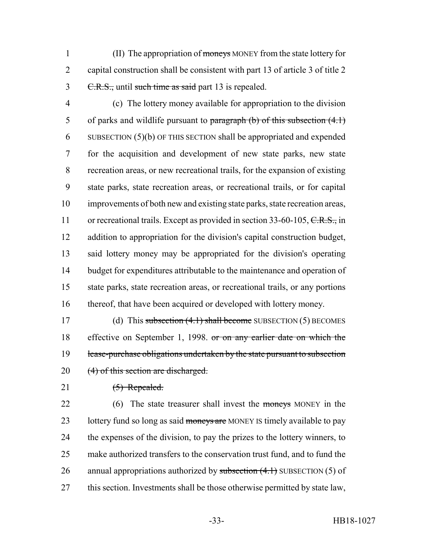1 (II) The appropriation of moneys MONEY from the state lottery for 2 capital construction shall be consistent with part 13 of article 3 of title 2 3 C.R.S., until such time as said part 13 is repealed.

 (c) The lottery money available for appropriation to the division 5 of parks and wildlife pursuant to paragraph  $(b)$  of this subsection  $(4.1)$  SUBSECTION (5)(b) OF THIS SECTION shall be appropriated and expended for the acquisition and development of new state parks, new state recreation areas, or new recreational trails, for the expansion of existing state parks, state recreation areas, or recreational trails, or for capital improvements of both new and existing state parks, state recreation areas, 11 or recreational trails. Except as provided in section 33-60-105, C.R.S., in addition to appropriation for the division's capital construction budget, said lottery money may be appropriated for the division's operating budget for expenditures attributable to the maintenance and operation of state parks, state recreation areas, or recreational trails, or any portions 16 thereof, that have been acquired or developed with lottery money.

17 (d) This subsection (4.1) shall become SUBSECTION (5) BECOMES 18 effective on September 1, 1998. or on any earlier date on which the 19 lease-purchase obligations undertaken by the state pursuant to subsection 20 (4) of this section are discharged.

## 21 (5) Repealed.

22 (6) The state treasurer shall invest the moneys MONEY in the 23 lottery fund so long as said moneys are MONEY IS timely available to pay 24 the expenses of the division, to pay the prizes to the lottery winners, to 25 make authorized transfers to the conservation trust fund, and to fund the 26 annual appropriations authorized by subsection  $(4.1)$  SUBSECTION  $(5)$  of 27 this section. Investments shall be those otherwise permitted by state law,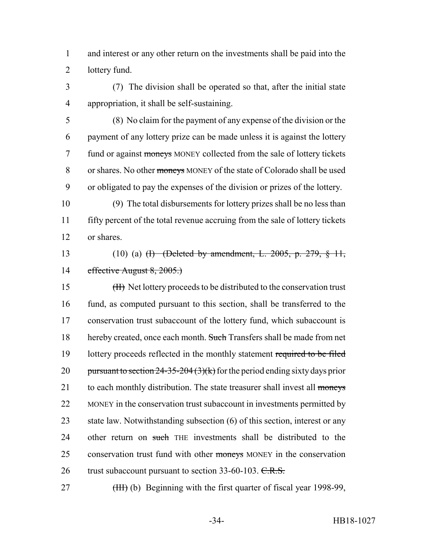1 and interest or any other return on the investments shall be paid into the 2 lottery fund.

3 (7) The division shall be operated so that, after the initial state 4 appropriation, it shall be self-sustaining.

5 (8) No claim for the payment of any expense of the division or the 6 payment of any lottery prize can be made unless it is against the lottery 7 fund or against moneys MONEY collected from the sale of lottery tickets 8 or shares. No other moneys MONEY of the state of Colorado shall be used 9 or obligated to pay the expenses of the division or prizes of the lottery.

10 (9) The total disbursements for lottery prizes shall be no less than 11 fifty percent of the total revenue accruing from the sale of lottery tickets 12 or shares.

# 13 (10) (a) <del>(I) (Deleted by amendment, L. 2005, p. 279, § 11,</del> 14 effective August 8, 2005.)

15 (II) Net lottery proceeds to be distributed to the conservation trust 16 fund, as computed pursuant to this section, shall be transferred to the 17 conservation trust subaccount of the lottery fund, which subaccount is 18 hereby created, once each month. Such Transfers shall be made from net 19 lottery proceeds reflected in the monthly statement required to be filed 20 pursuant to section  $24-35-204(3)(k)$  for the period ending sixty days prior 21 to each monthly distribution. The state treasurer shall invest all moneys 22 MONEY in the conservation trust subaccount in investments permitted by 23 state law. Notwithstanding subsection (6) of this section, interest or any 24 other return on such THE investments shall be distributed to the 25 conservation trust fund with other moneys MONEY in the conservation 26 trust subaccount pursuant to section 33-60-103. C.R.S.

27 (HH) (b) Beginning with the first quarter of fiscal year 1998-99,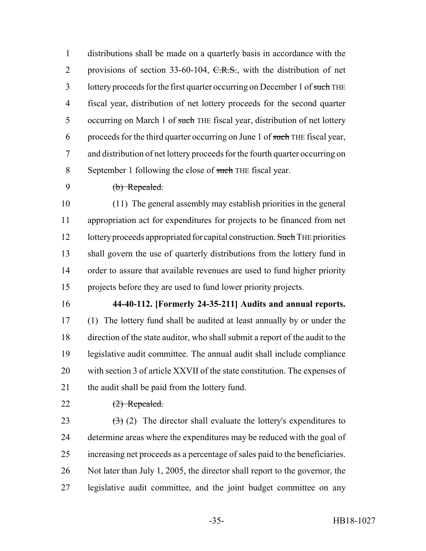distributions shall be made on a quarterly basis in accordance with the 2 provisions of section 33-60-104, C.R.S., with the distribution of net 3 lottery proceeds for the first quarter occurring on December 1 of such THE fiscal year, distribution of net lottery proceeds for the second quarter 5 occurring on March 1 of such THE fiscal year, distribution of net lottery 6 proceeds for the third quarter occurring on June 1 of such THE fiscal year, and distribution of net lottery proceeds for the fourth quarter occurring on 8 September 1 following the close of such THE fiscal year.

(b) Repealed.

 (11) The general assembly may establish priorities in the general appropriation act for expenditures for projects to be financed from net 12 lottery proceeds appropriated for capital construction. Such THE priorities shall govern the use of quarterly distributions from the lottery fund in order to assure that available revenues are used to fund higher priority projects before they are used to fund lower priority projects.

**44-40-112. [Formerly 24-35-211] Audits and annual reports.**

 (1) The lottery fund shall be audited at least annually by or under the direction of the state auditor, who shall submit a report of the audit to the legislative audit committee. The annual audit shall include compliance with section 3 of article XXVII of the state constitution. The expenses of 21 the audit shall be paid from the lottery fund.

# (2) Repealed.

 $(3)$  (2) The director shall evaluate the lottery's expenditures to determine areas where the expenditures may be reduced with the goal of increasing net proceeds as a percentage of sales paid to the beneficiaries. Not later than July 1, 2005, the director shall report to the governor, the legislative audit committee, and the joint budget committee on any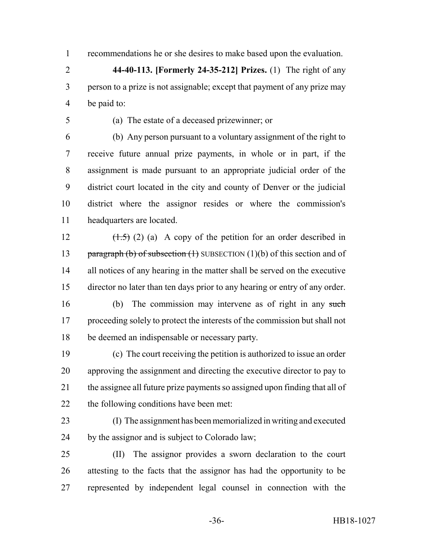recommendations he or she desires to make based upon the evaluation.

 **44-40-113. [Formerly 24-35-212] Prizes.** (1) The right of any person to a prize is not assignable; except that payment of any prize may be paid to:

(a) The estate of a deceased prizewinner; or

 (b) Any person pursuant to a voluntary assignment of the right to receive future annual prize payments, in whole or in part, if the assignment is made pursuant to an appropriate judicial order of the district court located in the city and county of Denver or the judicial district where the assignor resides or where the commission's headquarters are located.

 $(\frac{1.5}{2})$  (2) (a) A copy of the petition for an order described in 13 paragraph (b) of subsection  $(1)$  SUBSECTION  $(1)(b)$  of this section and of all notices of any hearing in the matter shall be served on the executive director no later than ten days prior to any hearing or entry of any order.

 (b) The commission may intervene as of right in any such proceeding solely to protect the interests of the commission but shall not be deemed an indispensable or necessary party.

 (c) The court receiving the petition is authorized to issue an order approving the assignment and directing the executive director to pay to the assignee all future prize payments so assigned upon finding that all of the following conditions have been met:

 (I) The assignment has been memorialized in writing and executed by the assignor and is subject to Colorado law;

 (II) The assignor provides a sworn declaration to the court attesting to the facts that the assignor has had the opportunity to be represented by independent legal counsel in connection with the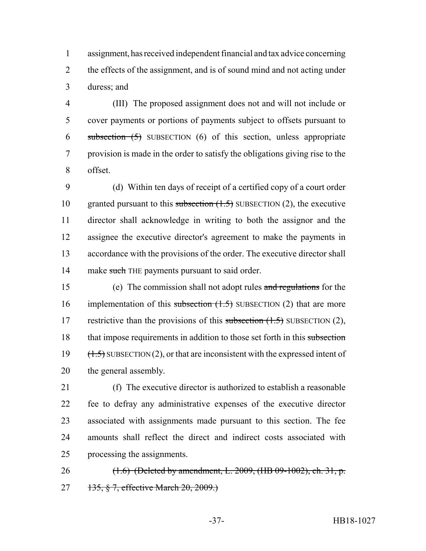assignment, has received independent financial and tax advice concerning 2 the effects of the assignment, and is of sound mind and not acting under duress; and

 (III) The proposed assignment does not and will not include or cover payments or portions of payments subject to offsets pursuant to subsection (5) SUBSECTION (6) of this section, unless appropriate provision is made in the order to satisfy the obligations giving rise to the offset.

 (d) Within ten days of receipt of a certified copy of a court order 10 granted pursuant to this subsection  $(1.5)$  SUBSECTION  $(2)$ , the executive director shall acknowledge in writing to both the assignor and the assignee the executive director's agreement to make the payments in accordance with the provisions of the order. The executive director shall 14 make such THE payments pursuant to said order.

 (e) The commission shall not adopt rules and regulations for the 16 implementation of this subsection  $(1.5)$  SUBSECTION (2) that are more 17 restrictive than the provisions of this subsection  $(1.5)$  SUBSECTION  $(2)$ , 18 that impose requirements in addition to those set forth in this subsection 19  $(1.5)$  SUBSECTION (2), or that are inconsistent with the expressed intent of the general assembly.

 (f) The executive director is authorized to establish a reasonable fee to defray any administrative expenses of the executive director associated with assignments made pursuant to this section. The fee amounts shall reflect the direct and indirect costs associated with processing the assignments.

 (1.6) (Deleted by amendment, L. 2009, (HB 09-1002), ch. 31, p. 27 135, § 7, effective March 20, 2009.)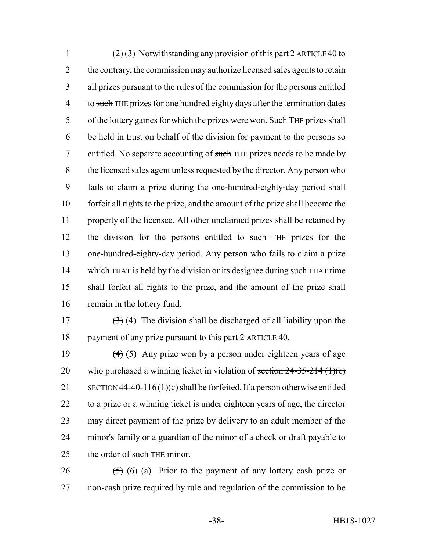1 (2) (3) Notwithstanding any provision of this part  $2$  ARTICLE 40 to 2 the contrary, the commission may authorize licensed sales agents to retain 3 all prizes pursuant to the rules of the commission for the persons entitled 4 to such THE prizes for one hundred eighty days after the termination dates 5 of the lottery games for which the prizes were won. Such THE prizes shall 6 be held in trust on behalf of the division for payment to the persons so 7 entitled. No separate accounting of such THE prizes needs to be made by 8 the licensed sales agent unless requested by the director. Any person who 9 fails to claim a prize during the one-hundred-eighty-day period shall 10 forfeit all rights to the prize, and the amount of the prize shall become the 11 property of the licensee. All other unclaimed prizes shall be retained by 12 the division for the persons entitled to such THE prizes for the 13 one-hundred-eighty-day period. Any person who fails to claim a prize 14 which THAT is held by the division or its designee during such THAT time 15 shall forfeit all rights to the prize, and the amount of the prize shall 16 remain in the lottery fund.

17  $(3)$  (4) The division shall be discharged of all liability upon the 18 payment of any prize pursuant to this  $part 2$  ARTICLE 40.

 $(4)$  (5) Any prize won by a person under eighteen years of age 20 who purchased a winning ticket in violation of section  $24-35-214$  (1)(c) SECTION 44-40-116(1)(c) shall be forfeited. If a person otherwise entitled to a prize or a winning ticket is under eighteen years of age, the director may direct payment of the prize by delivery to an adult member of the minor's family or a guardian of the minor of a check or draft payable to 25 the order of such THE minor.

26  $(5)$  (6) (a) Prior to the payment of any lottery cash prize or 27 non-cash prize required by rule and regulation of the commission to be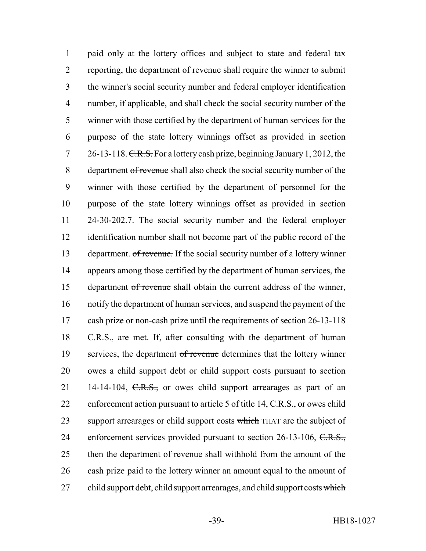1 paid only at the lottery offices and subject to state and federal tax 2 reporting, the department of revenue shall require the winner to submit 3 the winner's social security number and federal employer identification 4 number, if applicable, and shall check the social security number of the 5 winner with those certified by the department of human services for the 6 purpose of the state lottery winnings offset as provided in section 7 26-13-118. C.R.S. For a lottery cash prize, beginning January 1, 2012, the 8 department of revenue shall also check the social security number of the 9 winner with those certified by the department of personnel for the 10 purpose of the state lottery winnings offset as provided in section 11 24-30-202.7. The social security number and the federal employer 12 identification number shall not become part of the public record of the 13 department. of revenue. If the social security number of a lottery winner 14 appears among those certified by the department of human services, the 15 department of revenue shall obtain the current address of the winner, 16 notify the department of human services, and suspend the payment of the 17 cash prize or non-cash prize until the requirements of section 26-13-118 18 C.R.S., are met. If, after consulting with the department of human 19 services, the department of revenue determines that the lottery winner 20 owes a child support debt or child support costs pursuant to section 21 14-14-104,  $C.R.S.,$  or owes child support arrearages as part of an 22 enforcement action pursuant to article 5 of title 14, C.R.S., or owes child 23 support arrearages or child support costs which THAT are the subject of 24 enforcement services provided pursuant to section 26-13-106, C.R.S., 25 then the department of revenue shall withhold from the amount of the 26 cash prize paid to the lottery winner an amount equal to the amount of 27 child support debt, child support arrearages, and child support costs which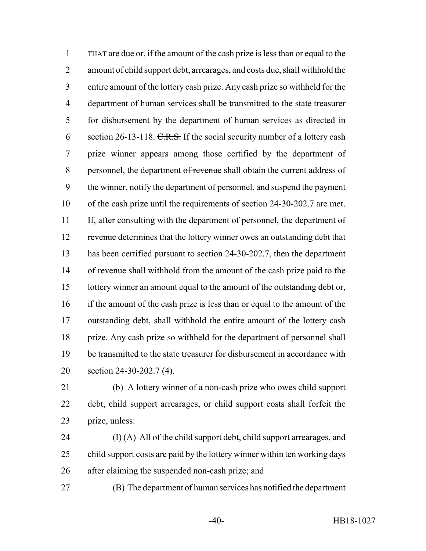THAT are due or, if the amount of the cash prize is less than or equal to the amount of child support debt, arrearages, and costs due, shall withhold the entire amount of the lottery cash prize. Any cash prize so withheld for the department of human services shall be transmitted to the state treasurer for disbursement by the department of human services as directed in 6 section 26-13-118.  $C.R.S.$  If the social security number of a lottery cash prize winner appears among those certified by the department of 8 personnel, the department of revenue shall obtain the current address of the winner, notify the department of personnel, and suspend the payment of the cash prize until the requirements of section 24-30-202.7 are met. 11 If, after consulting with the department of personnel, the department of 12 revenue determines that the lottery winner owes an outstanding debt that has been certified pursuant to section 24-30-202.7, then the department 14 of revenue shall withhold from the amount of the cash prize paid to the lottery winner an amount equal to the amount of the outstanding debt or, if the amount of the cash prize is less than or equal to the amount of the outstanding debt, shall withhold the entire amount of the lottery cash prize. Any cash prize so withheld for the department of personnel shall be transmitted to the state treasurer for disbursement in accordance with section 24-30-202.7 (4).

 (b) A lottery winner of a non-cash prize who owes child support debt, child support arrearages, or child support costs shall forfeit the prize, unless:

 (I) (A) All of the child support debt, child support arrearages, and child support costs are paid by the lottery winner within ten working days after claiming the suspended non-cash prize; and

(B) The department of human services has notified the department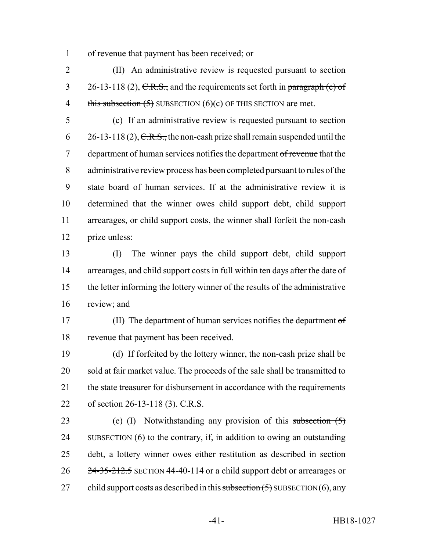1 of revenue that payment has been received; or

2 (II) An administrative review is requested pursuant to section 3 26-13-118 (2),  $C.R.S.,$  and the requirements set forth in paragraph (c) of 4 this subsection  $(5)$  SUBSECTION  $(6)(c)$  OF THIS SECTION are met.

 (c) If an administrative review is requested pursuant to section 6 26-13-118 (2),  $C.R.S.,$  the non-cash prize shall remain suspended until the 7 department of human services notifies the department of revenue that the administrative review process has been completed pursuant to rules of the state board of human services. If at the administrative review it is determined that the winner owes child support debt, child support arrearages, or child support costs, the winner shall forfeit the non-cash prize unless:

 (I) The winner pays the child support debt, child support arrearages, and child support costs in full within ten days after the date of the letter informing the lottery winner of the results of the administrative review; and

17 (II) The department of human services notifies the department of 18 revenue that payment has been received.

19 (d) If forfeited by the lottery winner, the non-cash prize shall be 20 sold at fair market value. The proceeds of the sale shall be transmitted to 21 the state treasurer for disbursement in accordance with the requirements 22 of section 26-13-118 (3). C.R.S.

23 (e) (I) Notwithstanding any provision of this subsection (5) 24 SUBSECTION (6) to the contrary, if, in addition to owing an outstanding 25 debt, a lottery winner owes either restitution as described in section 26 24-35-212.5 SECTION 44-40-114 or a child support debt or arrearages or 27 child support costs as described in this subsection  $(5)$  SUBSECTION  $(6)$ , any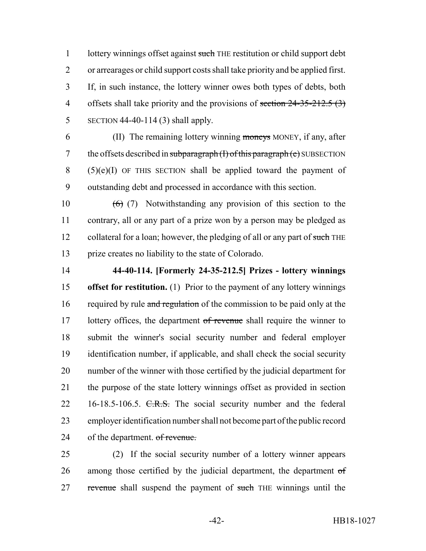1 lottery winnings offset against such THE restitution or child support debt or arrearages or child support costs shall take priority and be applied first. If, in such instance, the lottery winner owes both types of debts, both 4 offsets shall take priority and the provisions of section  $24-35-212.5(3)$ SECTION 44-40-114 (3) shall apply.

 (II) The remaining lottery winning moneys MONEY, if any, after 7 the offsets described in subparagraph  $(I)$  of this paragraph  $(e)$  SUBSECTION (5)(e)(I) OF THIS SECTION shall be applied toward the payment of outstanding debt and processed in accordance with this section.

 $(6)$  (7) Notwithstanding any provision of this section to the contrary, all or any part of a prize won by a person may be pledged as 12 collateral for a loan; however, the pledging of all or any part of such THE prize creates no liability to the state of Colorado.

 **44-40-114. [Formerly 24-35-212.5] Prizes - lottery winnings offset for restitution.** (1) Prior to the payment of any lottery winnings 16 required by rule and regulation of the commission to be paid only at the 17 lottery offices, the department of revenue shall require the winner to submit the winner's social security number and federal employer identification number, if applicable, and shall check the social security number of the winner with those certified by the judicial department for the purpose of the state lottery winnings offset as provided in section 22 16-18.5-106.5. C.R.S. The social security number and the federal employer identification number shall not become part of the public record of the department. of revenue.

 (2) If the social security number of a lottery winner appears 26 among those certified by the judicial department, the department of 27 revenue shall suspend the payment of such THE winnings until the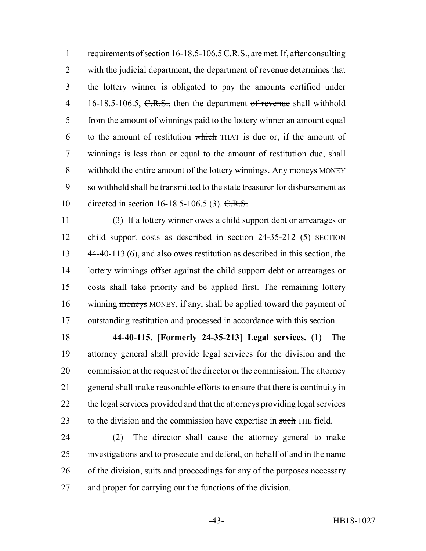1 requirements of section 16-18.5-106.5 C.R.S., are met. If, after consulting 2 with the judicial department, the department of revenue determines that the lottery winner is obligated to pay the amounts certified under 4 16-18.5-106.5, C.R.S., then the department of revenue shall withhold from the amount of winnings paid to the lottery winner an amount equal to the amount of restitution which THAT is due or, if the amount of winnings is less than or equal to the amount of restitution due, shall 8 withhold the entire amount of the lottery winnings. Any moneys MONEY so withheld shall be transmitted to the state treasurer for disbursement as 10 directed in section 16-18.5-106.5 (3). C.R.S.

 (3) If a lottery winner owes a child support debt or arrearages or 12 child support costs as described in section 24-35-212 (5) SECTION 44-40-113 (6), and also owes restitution as described in this section, the lottery winnings offset against the child support debt or arrearages or costs shall take priority and be applied first. The remaining lottery winning moneys MONEY, if any, shall be applied toward the payment of outstanding restitution and processed in accordance with this section.

 **44-40-115. [Formerly 24-35-213] Legal services.** (1) The attorney general shall provide legal services for the division and the commission at the request of the director or the commission. The attorney general shall make reasonable efforts to ensure that there is continuity in the legal services provided and that the attorneys providing legal services 23 to the division and the commission have expertise in such THE field.

 (2) The director shall cause the attorney general to make investigations and to prosecute and defend, on behalf of and in the name of the division, suits and proceedings for any of the purposes necessary and proper for carrying out the functions of the division.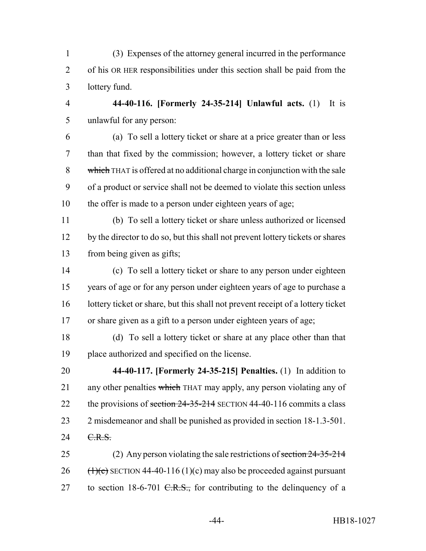- (3) Expenses of the attorney general incurred in the performance of his OR HER responsibilities under this section shall be paid from the lottery fund.
- 

 **44-40-116. [Formerly 24-35-214] Unlawful acts.** (1) It is unlawful for any person:

 (a) To sell a lottery ticket or share at a price greater than or less than that fixed by the commission; however, a lottery ticket or share 8 which THAT is offered at no additional charge in conjunction with the sale of a product or service shall not be deemed to violate this section unless the offer is made to a person under eighteen years of age;

 (b) To sell a lottery ticket or share unless authorized or licensed by the director to do so, but this shall not prevent lottery tickets or shares from being given as gifts;

 (c) To sell a lottery ticket or share to any person under eighteen years of age or for any person under eighteen years of age to purchase a lottery ticket or share, but this shall not prevent receipt of a lottery ticket or share given as a gift to a person under eighteen years of age;

 (d) To sell a lottery ticket or share at any place other than that place authorized and specified on the license.

 **44-40-117. [Formerly 24-35-215] Penalties.** (1) In addition to 21 any other penalties which THAT may apply, any person violating any of 22 the provisions of section 24-35-214 SECTION 44-40-116 commits a class 2 misdemeanor and shall be punished as provided in section 18-1.3-501. 24 C.R.S.

25 (2) Any person violating the sale restrictions of section 24-35-214 26  $(\frac{1}{\epsilon})$  SECTION 44-40-116 (1)(c) may also be proceeded against pursuant 27 to section 18-6-701  $C.R.S.,$  for contributing to the delinquency of a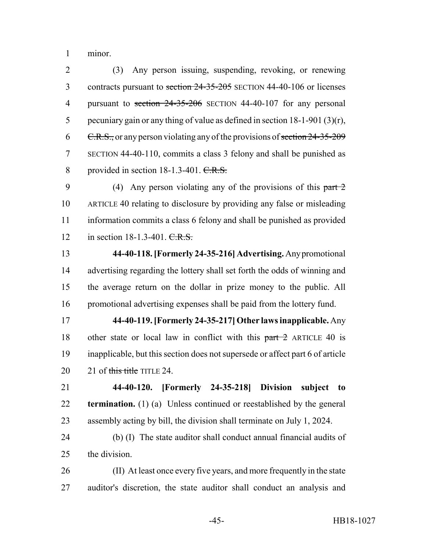minor.

 (3) Any person issuing, suspending, revoking, or renewing 3 contracts pursuant to section 24-35-205 SECTION 44-40-106 or licenses 4 pursuant to section 24-35-206 SECTION 44-40-107 for any personal pecuniary gain or any thing of value as defined in section 18-1-901 (3)(r), 6 C.R.S., or any person violating any of the provisions of section 24-35-209 SECTION 44-40-110, commits a class 3 felony and shall be punished as 8 provided in section 18-1.3-401. C.R.S.

9 (4) Any person violating any of the provisions of this part 2 ARTICLE 40 relating to disclosure by providing any false or misleading information commits a class 6 felony and shall be punished as provided 12 in section 18-1.3-401. C.R.S.

 **44-40-118. [Formerly 24-35-216] Advertising.** Any promotional advertising regarding the lottery shall set forth the odds of winning and the average return on the dollar in prize money to the public. All promotional advertising expenses shall be paid from the lottery fund.

 **44-40-119. [Formerly 24-35-217] Other laws inapplicable.** Any 18 other state or local law in conflict with this part 2 ARTICLE 40 is inapplicable, but this section does not supersede or affect part 6 of article 20 21 of this title TITLE 24.

 **44-40-120. [Formerly 24-35-218] Division subject to termination.** (1) (a) Unless continued or reestablished by the general assembly acting by bill, the division shall terminate on July 1, 2024.

 (b) (I) The state auditor shall conduct annual financial audits of the division.

 (II) At least once every five years, and more frequently in the state auditor's discretion, the state auditor shall conduct an analysis and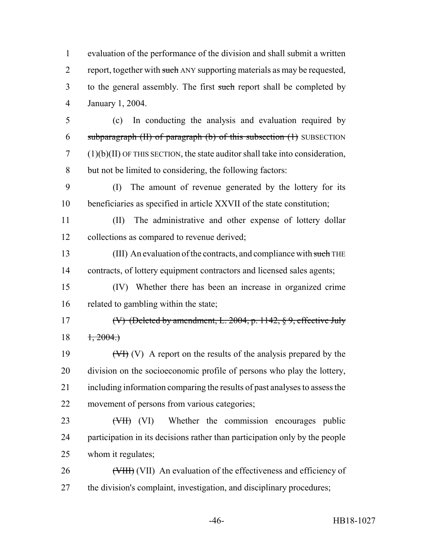evaluation of the performance of the division and shall submit a written 2 report, together with such ANY supporting materials as may be requested, 3 to the general assembly. The first such report shall be completed by January 1, 2004.

 (c) In conducting the analysis and evaluation required by 6 subparagraph  $(H)$  of paragraph  $(b)$  of this subsection  $(1)$  SUBSECTION (1)(b)(II) OF THIS SECTION, the state auditor shall take into consideration, but not be limited to considering, the following factors:

 (I) The amount of revenue generated by the lottery for its beneficiaries as specified in article XXVII of the state constitution;

 (II) The administrative and other expense of lottery dollar collections as compared to revenue derived;

13 (III) An evaluation of the contracts, and compliance with such THE contracts, of lottery equipment contractors and licensed sales agents;

 (IV) Whether there has been an increase in organized crime related to gambling within the state;

 (V) (Deleted by amendment, L. 2004, p. 1142, § 9, effective July 1, 2004.)

 $(WH)(V)$  A report on the results of the analysis prepared by the division on the socioeconomic profile of persons who play the lottery, including information comparing the results of past analyses to assess the movement of persons from various categories;

23 (VII) (VI) Whether the commission encourages public participation in its decisions rather than participation only by the people whom it regulates;

26 (VIII) An evaluation of the effectiveness and efficiency of the division's complaint, investigation, and disciplinary procedures;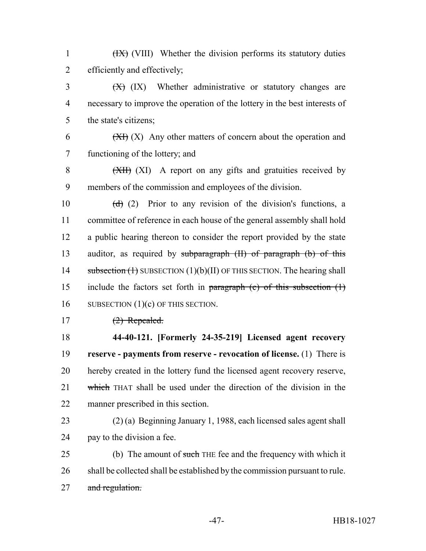1 (IX) (VIII) Whether the division performs its statutory duties 2 efficiently and effectively;

 $\frac{1}{2}$  (IX) Whether administrative or statutory changes are 4 necessary to improve the operation of the lottery in the best interests of 5 the state's citizens;

6  $(XH)(X)$  Any other matters of concern about the operation and 7 functioning of the lottery; and

8 (XII) A report on any gifts and gratuities received by 9 members of the commission and employees of the division.

10  $(d)$  (2) Prior to any revision of the division's functions, a 11 committee of reference in each house of the general assembly shall hold 12 a public hearing thereon to consider the report provided by the state 13 auditor, as required by subparagraph (II) of paragraph (b) of this 14 subsection  $(1)$  SUBSECTION  $(1)(b)(II)$  OF THIS SECTION. The hearing shall 15 include the factors set forth in paragraph (c) of this subsection (1) 16 SUBSECTION (1)(c) OF THIS SECTION.

 $17$   $(2)$  Repealed.

 **44-40-121. [Formerly 24-35-219] Licensed agent recovery reserve - payments from reserve - revocation of license.** (1) There is hereby created in the lottery fund the licensed agent recovery reserve, 21 which THAT shall be used under the direction of the division in the manner prescribed in this section.

23 (2) (a) Beginning January 1, 1988, each licensed sales agent shall 24 pay to the division a fee.

25 (b) The amount of such THE fee and the frequency with which it 26 shall be collected shall be established by the commission pursuant to rule. 27 and regulation.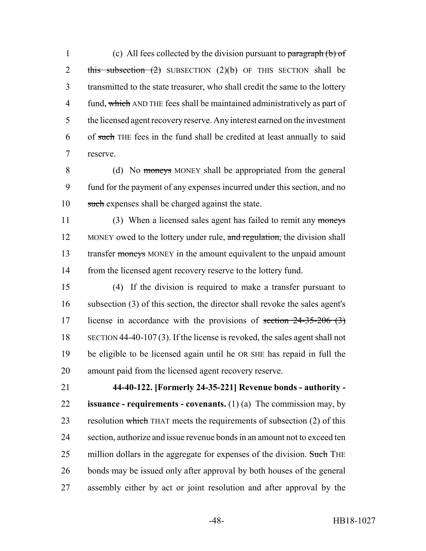1 (c) All fees collected by the division pursuant to paragraph (b) of 2 this subsection  $(2)$  SUBSECTION  $(2)(b)$  OF THIS SECTION shall be transmitted to the state treasurer, who shall credit the same to the lottery 4 fund, which AND THE fees shall be maintained administratively as part of the licensed agent recovery reserve. Any interest earned on the investment of such THE fees in the fund shall be credited at least annually to said reserve.

8 (d) No moneys MONEY shall be appropriated from the general fund for the payment of any expenses incurred under this section, and no such expenses shall be charged against the state.

11 (3) When a licensed sales agent has failed to remit any moneys 12 MONEY owed to the lottery under rule, and regulation, the division shall 13 transfer moneys MONEY in the amount equivalent to the unpaid amount from the licensed agent recovery reserve to the lottery fund.

 (4) If the division is required to make a transfer pursuant to subsection (3) of this section, the director shall revoke the sales agent's 17 license in accordance with the provisions of section  $24-35-206$  (3) SECTION 44-40-107 (3). If the license is revoked, the sales agent shall not be eligible to be licensed again until he OR SHE has repaid in full the amount paid from the licensed agent recovery reserve.

 **44-40-122. [Formerly 24-35-221] Revenue bonds - authority - issuance - requirements - covenants.** (1) (a) The commission may, by 23 resolution which THAT meets the requirements of subsection (2) of this section, authorize and issue revenue bonds in an amount not to exceed ten 25 million dollars in the aggregate for expenses of the division. Such THE bonds may be issued only after approval by both houses of the general assembly either by act or joint resolution and after approval by the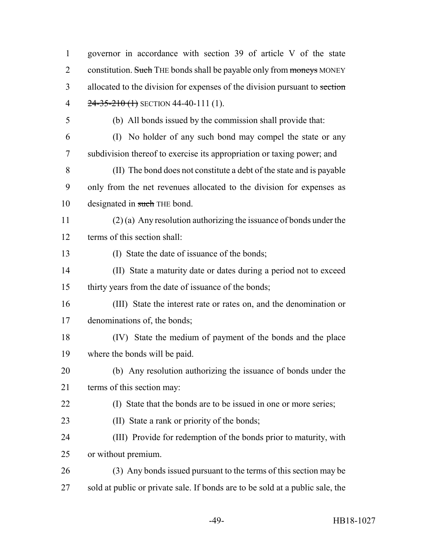governor in accordance with section 39 of article V of the state 2 constitution. Such THE bonds shall be payable only from moneys MONEY 3 allocated to the division for expenses of the division pursuant to section 4 24-35-210 (1) SECTION 44-40-111 (1). (b) All bonds issued by the commission shall provide that: (I) No holder of any such bond may compel the state or any subdivision thereof to exercise its appropriation or taxing power; and (II) The bond does not constitute a debt of the state and is payable only from the net revenues allocated to the division for expenses as 10 designated in such THE bond. (2) (a) Any resolution authorizing the issuance of bonds under the terms of this section shall: (I) State the date of issuance of the bonds; (II) State a maturity date or dates during a period not to exceed thirty years from the date of issuance of the bonds; (III) State the interest rate or rates on, and the denomination or denominations of, the bonds; (IV) State the medium of payment of the bonds and the place where the bonds will be paid. (b) Any resolution authorizing the issuance of bonds under the terms of this section may: (I) State that the bonds are to be issued in one or more series; (II) State a rank or priority of the bonds; (III) Provide for redemption of the bonds prior to maturity, with or without premium. (3) Any bonds issued pursuant to the terms of this section may be sold at public or private sale. If bonds are to be sold at a public sale, the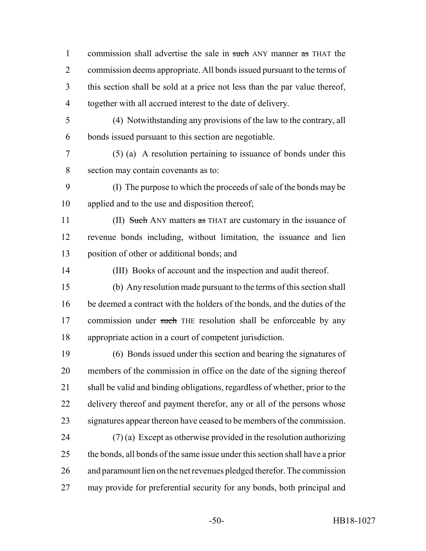1 commission shall advertise the sale in such ANY manner as THAT the commission deems appropriate. All bonds issued pursuant to the terms of this section shall be sold at a price not less than the par value thereof, together with all accrued interest to the date of delivery.

 (4) Notwithstanding any provisions of the law to the contrary, all bonds issued pursuant to this section are negotiable.

 (5) (a) A resolution pertaining to issuance of bonds under this section may contain covenants as to:

 (I) The purpose to which the proceeds of sale of the bonds may be applied and to the use and disposition thereof;

11 (II) Such ANY matters as THAT are customary in the issuance of revenue bonds including, without limitation, the issuance and lien position of other or additional bonds; and

- (III) Books of account and the inspection and audit thereof.
- (b) Any resolution made pursuant to the terms of this section shall be deemed a contract with the holders of the bonds, and the duties of the 17 commission under such THE resolution shall be enforceable by any appropriate action in a court of competent jurisdiction.

 (6) Bonds issued under this section and bearing the signatures of members of the commission in office on the date of the signing thereof shall be valid and binding obligations, regardless of whether, prior to the 22 delivery thereof and payment therefor, any or all of the persons whose signatures appear thereon have ceased to be members of the commission.

 $(7)$  (a) Except as otherwise provided in the resolution authorizing the bonds, all bonds of the same issue under this section shall have a prior and paramount lien on the net revenues pledged therefor. The commission may provide for preferential security for any bonds, both principal and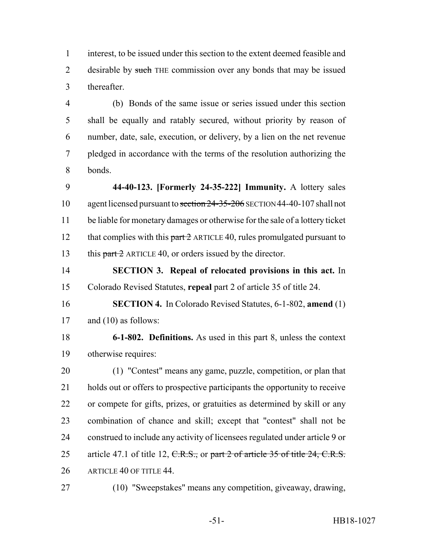interest, to be issued under this section to the extent deemed feasible and 2 desirable by such THE commission over any bonds that may be issued thereafter.

 (b) Bonds of the same issue or series issued under this section shall be equally and ratably secured, without priority by reason of number, date, sale, execution, or delivery, by a lien on the net revenue pledged in accordance with the terms of the resolution authorizing the bonds.

 **44-40-123. [Formerly 24-35-222] Immunity.** A lottery sales 10 agent licensed pursuant to section 24-35-206 SECTION 44-40-107 shall not be liable for monetary damages or otherwise for the sale of a lottery ticket 12 that complies with this  $part 2$  ARTICLE 40, rules promulgated pursuant to 13 this part 2 ARTICLE 40, or orders issued by the director.

 **SECTION 3. Repeal of relocated provisions in this act.** In Colorado Revised Statutes, **repeal** part 2 of article 35 of title 24.

 **SECTION 4.** In Colorado Revised Statutes, 6-1-802, **amend** (1) 17 and (10) as follows:

 **6-1-802. Definitions.** As used in this part 8, unless the context otherwise requires:

 (1) "Contest" means any game, puzzle, competition, or plan that holds out or offers to prospective participants the opportunity to receive or compete for gifts, prizes, or gratuities as determined by skill or any combination of chance and skill; except that "contest" shall not be construed to include any activity of licensees regulated under article 9 or 25 article 47.1 of title 12, C.R.S., or part 2 of article 35 of title 24, C.R.S. ARTICLE 40 OF TITLE 44.

(10) "Sweepstakes" means any competition, giveaway, drawing,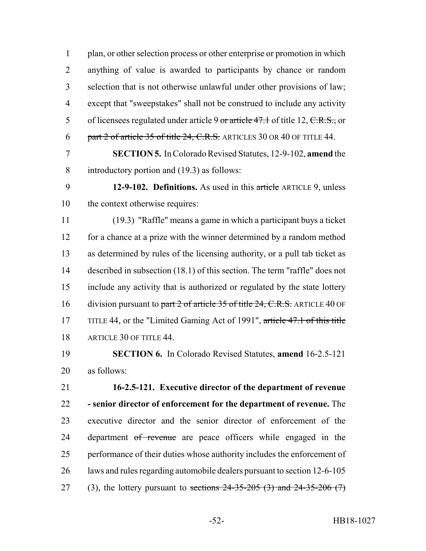plan, or other selection process or other enterprise or promotion in which anything of value is awarded to participants by chance or random selection that is not otherwise unlawful under other provisions of law; except that "sweepstakes" shall not be construed to include any activity 5 of licensees regulated under article 9 or article  $47.1$  of title 12, C.R.S., or 6 part 2 of article 35 of title 24, C.R.S. ARTICLES 30 OR 40 OF TITLE 44.

 **SECTION 5.** In Colorado Revised Statutes, 12-9-102, **amend** the introductory portion and (19.3) as follows:

 **12-9-102. Definitions.** As used in this article ARTICLE 9, unless the context otherwise requires:

 (19.3) "Raffle" means a game in which a participant buys a ticket for a chance at a prize with the winner determined by a random method as determined by rules of the licensing authority, or a pull tab ticket as described in subsection (18.1) of this section. The term "raffle" does not include any activity that is authorized or regulated by the state lottery 16 division pursuant to part 2 of article 35 of title 24, C.R.S. ARTICLE 40 OF 17 TITLE 44, or the "Limited Gaming Act of 1991", article 47.1 of this title ARTICLE 30 OF TITLE 44.

 **SECTION 6.** In Colorado Revised Statutes, **amend** 16-2.5-121 as follows:

 **16-2.5-121. Executive director of the department of revenue - senior director of enforcement for the department of revenue.** The executive director and the senior director of enforcement of the 24 department of revenue are peace officers while engaged in the performance of their duties whose authority includes the enforcement of laws and rules regarding automobile dealers pursuant to section 12-6-105 27 (3), the lottery pursuant to sections  $24-35-205$  (3) and  $24-35-206$  (7)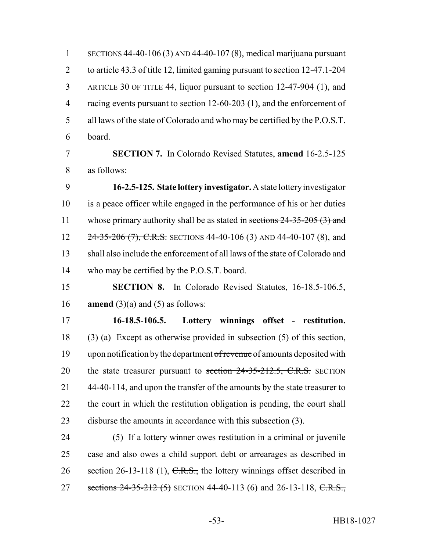SECTIONS 44-40-106 (3) AND 44-40-107 (8), medical marijuana pursuant 2 to article 43.3 of title 12, limited gaming pursuant to section 12-47.1-204 ARTICLE 30 OF TITLE 44, liquor pursuant to section 12-47-904 (1), and 4 racing events pursuant to section 12-60-203 (1), and the enforcement of all laws of the state of Colorado and who may be certified by the P.O.S.T. board.

 **SECTION 7.** In Colorado Revised Statutes, **amend** 16-2.5-125 as follows:

 **16-2.5-125. State lottery investigator.** A state lottery investigator is a peace officer while engaged in the performance of his or her duties 11 whose primary authority shall be as stated in sections 24-35-205 (3) and 12 24-35-206 (7), C.R.S. SECTIONS 44-40-106 (3) AND 44-40-107 (8), and shall also include the enforcement of all laws of the state of Colorado and who may be certified by the P.O.S.T. board.

 **SECTION 8.** In Colorado Revised Statutes, 16-18.5-106.5, **amend** (3)(a) and (5) as follows:

 **16-18.5-106.5. Lottery winnings offset - restitution.** (3) (a) Except as otherwise provided in subsection (5) of this section, 19 upon notification by the department of revenue of amounts deposited with 20 the state treasurer pursuant to section 24-35-212.5, C.R.S. SECTION 44-40-114, and upon the transfer of the amounts by the state treasurer to the court in which the restitution obligation is pending, the court shall disburse the amounts in accordance with this subsection (3).

 (5) If a lottery winner owes restitution in a criminal or juvenile case and also owes a child support debt or arrearages as described in 26 section 26-13-118 (1),  $C.R.S.,$  the lottery winnings offset described in 27 sections 24-35-212 (5) SECTION 44-40-113 (6) and 26-13-118, C.R.S.,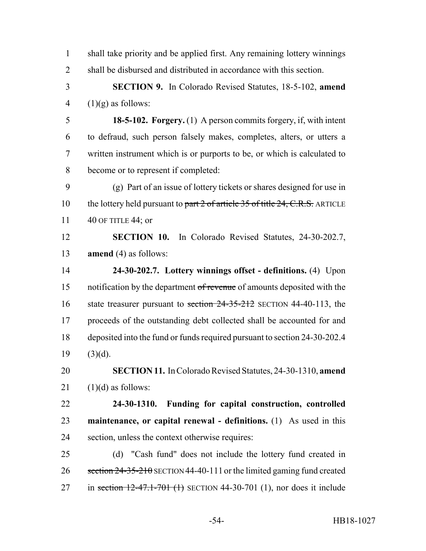| $\mathbf{1}$   | shall take priority and be applied first. Any remaining lottery winnings      |
|----------------|-------------------------------------------------------------------------------|
| $\overline{2}$ | shall be disbursed and distributed in accordance with this section.           |
| 3              | <b>SECTION 9.</b> In Colorado Revised Statutes, 18-5-102, amend               |
| 4              | $(1)(g)$ as follows:                                                          |
| 5              | 18-5-102. Forgery. (1) A person commits forgery, if, with intent              |
| 6              | to defraud, such person falsely makes, completes, alters, or utters a         |
| 7              | written instrument which is or purports to be, or which is calculated to      |
| 8              | become or to represent if completed:                                          |
| 9              | (g) Part of an issue of lottery tickets or shares designed for use in         |
| 10             | the lottery held pursuant to part 2 of article 35 of title 24, C.R.S. ARTICLE |
| 11             | 40 OF TITLE 44; or                                                            |
| 12             | <b>SECTION 10.</b> In Colorado Revised Statutes, 24-30-202.7,                 |
| 13             | <b>amend</b> $(4)$ as follows:                                                |
| 14             | 24-30-202.7. Lottery winnings offset - definitions. (4) Upon                  |
| 15             | notification by the department of revenue of amounts deposited with the       |
| 16             | state treasurer pursuant to section $24-35-212$ SECTION 44-40-113, the        |
| 17             | proceeds of the outstanding debt collected shall be accounted for and         |
| 18             | deposited into the fund or funds required pursuant to section 24-30-202.4     |
| 19             | $(3)(d)$ .                                                                    |
| 20             | <b>SECTION 11.</b> In Colorado Revised Statutes, 24-30-1310, amend            |
| 21             | $(1)(d)$ as follows:                                                          |
| 22             | Funding for capital construction, controlled<br>$24 - 30 - 1310.$             |
| 23             | maintenance, or capital renewal - definitions. (1) As used in this            |
| 24             | section, unless the context otherwise requires:                               |
| 25             | (d) "Cash fund" does not include the lottery fund created in                  |
| 26             | section $24-35-210$ SECTION 44-40-111 or the limited gaming fund created      |
| 27             | in section $12-47.1-701$ (1) SECTION 44-30-701 (1), nor does it include       |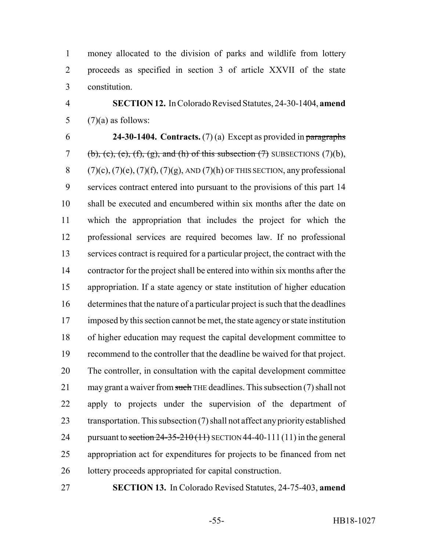money allocated to the division of parks and wildlife from lottery proceeds as specified in section 3 of article XXVII of the state constitution.

 **SECTION 12.** In Colorado Revised Statutes, 24-30-1404, **amend** 5  $(7)(a)$  as follows:

 **24-30-1404. Contracts.** (7) (a) Except as provided in paragraphs 7 (b), (c), (e), (f), (g), and (h) of this subsection  $(7)$  SUBSECTIONS  $(7)(b)$ , 8 (7)(c), (7)(e), (7)(f), (7)(g), AND (7)(h) OF THIS SECTION, any professional services contract entered into pursuant to the provisions of this part 14 shall be executed and encumbered within six months after the date on which the appropriation that includes the project for which the professional services are required becomes law. If no professional services contract is required for a particular project, the contract with the contractor for the project shall be entered into within six months after the appropriation. If a state agency or state institution of higher education determines that the nature of a particular project is such that the deadlines imposed by this section cannot be met, the state agency or state institution of higher education may request the capital development committee to recommend to the controller that the deadline be waived for that project. The controller, in consultation with the capital development committee 21 may grant a waiver from such THE deadlines. This subsection (7) shall not apply to projects under the supervision of the department of transportation. This subsection (7) shall not affect any priority established 24 pursuant to section  $24-35-210(11)$  SECTION 44-40-111(11) in the general appropriation act for expenditures for projects to be financed from net 26 lottery proceeds appropriated for capital construction.

**SECTION 13.** In Colorado Revised Statutes, 24-75-403, **amend**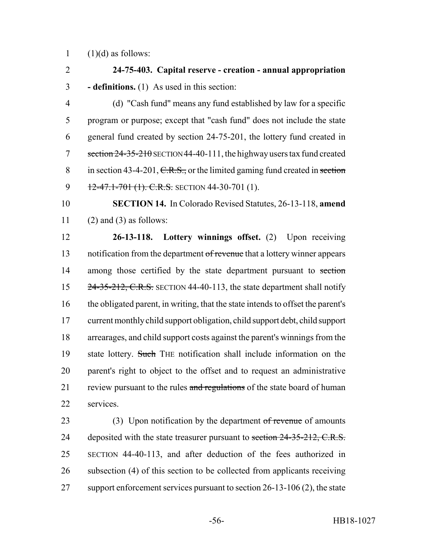1  $(1)(d)$  as follows:

2 **24-75-403. Capital reserve - creation - annual appropriation** 3 **- definitions.** (1) As used in this section:

4 (d) "Cash fund" means any fund established by law for a specific 5 program or purpose; except that "cash fund" does not include the state 6 general fund created by section 24-75-201, the lottery fund created in 7 section  $24 - 35 - 210$  SECTION 44-40-111, the highway users tax fund created 8 in section 43-4-201, C.R.S., or the limited gaming fund created in section 9 12-47.1-701 (1). C.R.S. SECTION 44-30-701 (1).

10 **SECTION 14.** In Colorado Revised Statutes, 26-13-118, **amend** 11 (2) and (3) as follows:

12 **26-13-118. Lottery winnings offset.** (2) Upon receiving 13 notification from the department of revenue that a lottery winner appears 14 among those certified by the state department pursuant to section 15 24-35-212, C.R.S. SECTION 44-40-113, the state department shall notify 16 the obligated parent, in writing, that the state intends to offset the parent's 17 current monthly child support obligation, child support debt, child support 18 arrearages, and child support costs against the parent's winnings from the 19 state lottery. Such THE notification shall include information on the 20 parent's right to object to the offset and to request an administrative 21 review pursuant to the rules and regulations of the state board of human 22 services.

23 (3) Upon notification by the department of revenue of amounts 24 deposited with the state treasurer pursuant to section 24-35-212, C.R.S. 25 SECTION 44-40-113, and after deduction of the fees authorized in 26 subsection (4) of this section to be collected from applicants receiving 27 support enforcement services pursuant to section 26-13-106 (2), the state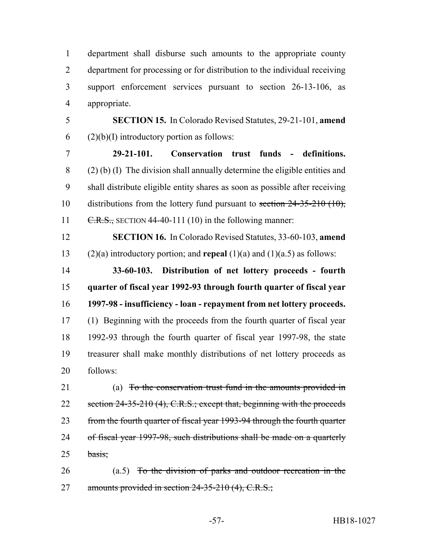department shall disburse such amounts to the appropriate county department for processing or for distribution to the individual receiving support enforcement services pursuant to section 26-13-106, as appropriate.

 **SECTION 15.** In Colorado Revised Statutes, 29-21-101, **amend** 6 (2)(b)(I) introductory portion as follows:

 **29-21-101. Conservation trust funds - definitions.** (2) (b) (I) The division shall annually determine the eligible entities and shall distribute eligible entity shares as soon as possible after receiving 10 distributions from the lottery fund pursuant to section 24-35-210 (10),  $C.R.S.,$  SECTION 44-40-111 (10) in the following manner:

 **SECTION 16.** In Colorado Revised Statutes, 33-60-103, **amend** (2)(a) introductory portion; and **repeal** (1)(a) and (1)(a.5) as follows:

 **33-60-103. Distribution of net lottery proceeds - fourth quarter of fiscal year 1992-93 through fourth quarter of fiscal year 1997-98 - insufficiency - loan - repayment from net lottery proceeds.** (1) Beginning with the proceeds from the fourth quarter of fiscal year 1992-93 through the fourth quarter of fiscal year 1997-98, the state treasurer shall make monthly distributions of net lottery proceeds as follows:

 (a) To the conservation trust fund in the amounts provided in 22 section 24-35-210 (4), C.R.S.; except that, beginning with the proceeds 23 from the fourth quarter of fiscal year 1993-94 through the fourth quarter of fiscal year 1997-98, such distributions shall be made on a quarterly basis;

 (a.5) To the division of parks and outdoor recreation in the 27 amounts provided in section 24-35-210 (4), C.R.S.;